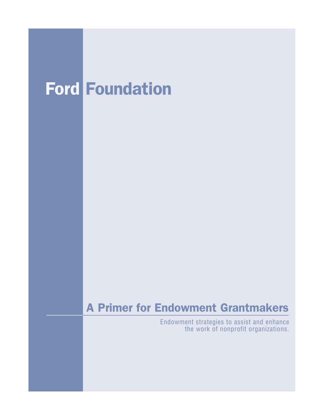# Ford Foundation

# A Primer for Endowment Grantmakers

Endowment strategies to assist and enhance the work of nonprofit organizations.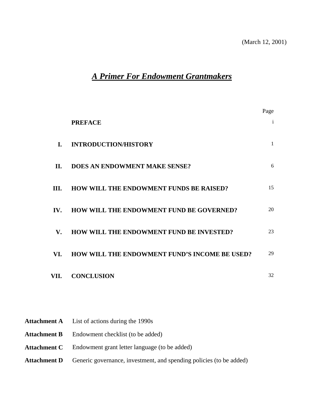# *A Primer For Endowment Grantmakers*

|                      |                                                | Page         |
|----------------------|------------------------------------------------|--------------|
|                      | <b>PREFACE</b>                                 | $\mathbf{i}$ |
| L.                   | <b>INTRODUCTION/HISTORY</b>                    | $\mathbf{1}$ |
| П.                   | <b>DOES AN ENDOWMENT MAKE SENSE?</b>           | 6            |
| III.                 | <b>HOW WILL THE ENDOWMENT FUNDS BE RAISED?</b> | 15           |
| IV.                  | HOW WILL THE ENDOWMENT FUND BE GOVERNED?       | 20           |
| $\mathbf{V}_{\cdot}$ | HOW WILL THE ENDOWMENT FUND BE INVESTED?       | 23           |
| VI.                  | HOW WILL THE ENDOWMENT FUND'S INCOME BE USED?  | 29           |
| VII.                 | <b>CONCLUSION</b>                              | 32           |
|                      |                                                |              |

| <b>Attachment A</b> List of actions during the 1990s                                    |
|-----------------------------------------------------------------------------------------|
| <b>Attachment B</b> Endowment checklist (to be added)                                   |
| <b>Attachment C</b> Endowment grant letter language (to be added)                       |
| <b>Attachment D</b> Generic governance, investment, and spending policies (to be added) |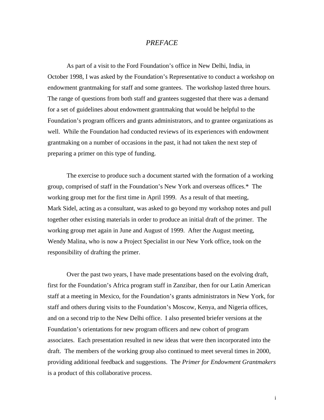#### *PREFACE*

As part of a visit to the Ford Foundation's office in New Delhi, India, in October 1998, I was asked by the Foundation's Representative to conduct a workshop on endowment grantmaking for staff and some grantees. The workshop lasted three hours. The range of questions from both staff and grantees suggested that there was a demand for a set of guidelines about endowment grantmaking that would be helpful to the Foundation's program officers and grants administrators, and to grantee organizations as well. While the Foundation had conducted reviews of its experiences with endowment grantmaking on a number of occasions in the past, it had not taken the next step of preparing a primer on this type of funding.

The exercise to produce such a document started with the formation of a working group, comprised of staff in the Foundation's New York and overseas offices.\* The working group met for the first time in April 1999. As a result of that meeting, Mark Sidel, acting as a consultant, was asked to go beyond my workshop notes and pull together other existing materials in order to produce an initial draft of the primer. The working group met again in June and August of 1999. After the August meeting, Wendy Malina, who is now a Project Specialist in our New York office, took on the responsibility of drafting the primer.

Over the past two years, I have made presentations based on the evolving draft, first for the Foundation's Africa program staff in Zanzibar, then for our Latin American staff at a meeting in Mexico, for the Foundation's grants administrators in New York, for staff and others during visits to the Foundation's Moscow, Kenya, and Nigeria offices, and on a second trip to the New Delhi office. I also presented briefer versions at the Foundation's orientations for new program officers and new cohort of program associates. Each presentation resulted in new ideas that were then incorporated into the draft. The members of the working group also continued to meet several times in 2000, providing additional feedback and suggestions. The *Primer for Endowment Grantmakers* is a product of this collaborative process.

i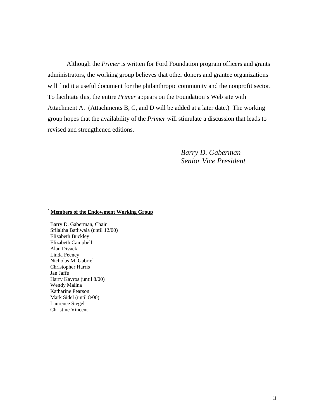Although the *Primer* is written for Ford Foundation program officers and grants administrators, the working group believes that other donors and grantee organizations will find it a useful document for the philanthropic community and the nonprofit sector. To facilitate this, the entire *Primer* appears on the Foundation's Web site with Attachment A. (Attachments B, C, and D will be added at a later date.) The working group hopes that the availability of the *Primer* will stimulate a discussion that leads to revised and strengthened editions.

> *Barry D. Gaberman Senior Vice President*

#### \* **Members of the Endowment Working Group**

 Barry D. Gaberman, Chair Srilaltha Batliwala (until 12/00) Elizabeth Buckley Elizabeth Campbell Alan Divack Linda Feeney Nicholas M. Gabriel Christopher Harris Jan Jaffe Harry Kavros (until 8/00) Wendy Malina Katharine Pearson Mark Sidel (until 8/00) Laurence Siegel Christine Vincent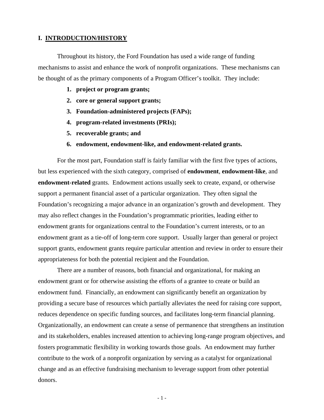#### **I. INTRODUCTION/HISTORY**

 Throughout its history, the Ford Foundation has used a wide range of funding mechanisms to assist and enhance the work of nonprofit organizations. These mechanisms can be thought of as the primary components of a Program Officer's toolkit. They include:

- **1. project or program grants;**
- **2. core or general support grants;**
- **3. Foundation-administered projects (FAPs);**
- **4. program-related investments (PRIs);**
- **5. recoverable grants; and**
- **6. endowment, endowment-like, and endowment-related grants.**

 For the most part, Foundation staff is fairly familiar with the first five types of actions, but less experienced with the sixth category, comprised of **endowment**, **endowment-like**, and **endowment-related** grants. Endowment actions usually seek to create, expand, or otherwise support a permanent financial asset of a particular organization. They often signal the Foundation's recognizing a major advance in an organization's growth and development. They may also reflect changes in the Foundation's programmatic priorities, leading either to endowment grants for organizations central to the Foundation's current interests, or to an endowment grant as a tie-off of long-term core support. Usually larger than general or project support grants, endowment grants require particular attention and review in order to ensure their appropriateness for both the potential recipient and the Foundation.

 There are a number of reasons, both financial and organizational, for making an endowment grant or for otherwise assisting the efforts of a grantee to create or build an endowment fund. Financially, an endowment can significantly benefit an organization by providing a secure base of resources which partially alleviates the need for raising core support, reduces dependence on specific funding sources, and facilitates long-term financial planning. Organizationally, an endowment can create a sense of permanence that strengthens an institution and its stakeholders, enables increased attention to achieving long-range program objectives, and fosters programmatic flexibility in working towards those goals. An endowment may further contribute to the work of a nonprofit organization by serving as a catalyst for organizational change and as an effective fundraising mechanism to leverage support from other potential donors.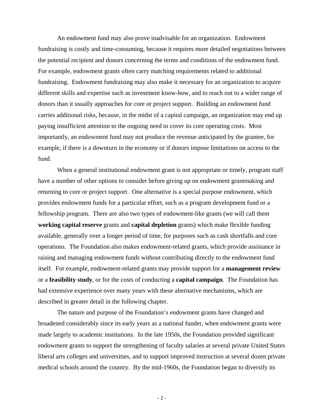An endowment fund may also prove inadvisable for an organization. Endowment fundraising is costly and time-consuming, because it requires more detailed negotiations between the potential recipient and donors concerning the terms and conditions of the endowment fund. For example, endowment grants often carry matching requirements related to additional fundraising. Endowment fundraising may also make it necessary for an organization to acquire different skills and expertise such as investment know-how, and to reach out to a wider range of donors than it usually approaches for core or project support. Building an endowment fund carries additional risks, because, in the midst of a capital campaign, an organization may end up paying insufficient attention to the ongoing need to cover its core operating costs. Most importantly, an endowment fund may not produce the revenue anticipated by the grantee, for example, if there is a downturn in the economy or if donors impose limitations on access to the fund.

When a general institutional endowment grant is not appropriate or timely, program staff have a number of other options to consider before giving up on endowment grantmaking and returning to core or project support. One alternative is a special purpose endowment, which provides endowment funds for a particular effort, such as a program development fund or a fellowship program. There are also two types of endowment-like grants (we will call them **working capital reserve** grants and **capital depletion** grants) which make flexible funding available, generally over a longer period of time, for purposes such as cash shortfalls and core operations. The Foundation also makes endowment-related grants, which provide assistance in raising and managing endowment funds without contributing directly to the endowment fund itself. For example, endowment-related grants may provide support for a **management review** or a **feasibility study**, or for the costs of conducting a **capital campaign**. The Foundation has had extensive experience over many years with these alternative mechanisms, which are described in greater detail in the following chapter.

 The nature and purpose of the Foundation's endowment grants have changed and broadened considerably since its early years as a national funder, when endowment grants were made largely to academic institutions. In the late 1950s, the Foundation provided significant endowment grants to support the strengthening of faculty salaries at several private United States liberal arts colleges and universities, and to support improved instruction at several dozen private medical schools around the country. By the mid-1960s, the Foundation began to diversify its

- 2 -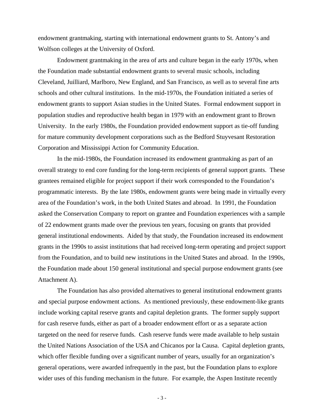endowment grantmaking, starting with international endowment grants to St. Antony's and Wolfson colleges at the University of Oxford.

 Endowment grantmaking in the area of arts and culture began in the early 1970s, when the Foundation made substantial endowment grants to several music schools, including Cleveland, Juilliard, Marlboro, New England, and San Francisco, as well as to several fine arts schools and other cultural institutions. In the mid-1970s, the Foundation initiated a series of endowment grants to support Asian studies in the United States. Formal endowment support in population studies and reproductive health began in 1979 with an endowment grant to Brown University. In the early 1980s, the Foundation provided endowment support as tie-off funding for mature community development corporations such as the Bedford Stuyvesant Restoration Corporation and Mississippi Action for Community Education.

 In the mid-1980s, the Foundation increased its endowment grantmaking as part of an overall strategy to end core funding for the long-term recipients of general support grants. These grantees remained eligible for project support if their work corresponded to the Foundation's programmatic interests. By the late 1980s, endowment grants were being made in virtually every area of the Foundation's work, in the both United States and abroad. In 1991, the Foundation asked the Conservation Company to report on grantee and Foundation experiences with a sample of 22 endowment grants made over the previous ten years, focusing on grants that provided general institutional endowments. Aided by that study, the Foundation increased its endowment grants in the 1990s to assist institutions that had received long-term operating and project support from the Foundation, and to build new institutions in the United States and abroad. In the 1990s, the Foundation made about 150 general institutional and special purpose endowment grants (see Attachment A).

 The Foundation has also provided alternatives to general institutional endowment grants and special purpose endowment actions. As mentioned previously, these endowment-like grants include working capital reserve grants and capital depletion grants. The former supply support for cash reserve funds, either as part of a broader endowment effort or as a separate action targeted on the need for reserve funds. Cash reserve funds were made available to help sustain the United Nations Association of the USA and Chicanos por la Causa. Capital depletion grants, which offer flexible funding over a significant number of years, usually for an organization's general operations, were awarded infrequently in the past, but the Foundation plans to explore wider uses of this funding mechanism in the future. For example, the Aspen Institute recently

- 3 -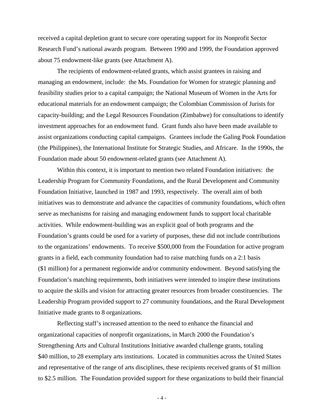received a capital depletion grant to secure core operating support for its Nonprofit Sector Research Fund's national awards program. Between 1990 and 1999, the Foundation approved about 75 endowment-like grants (see Attachment A).

 The recipients of endowment-related grants, which assist grantees in raising and managing an endowment, include: the Ms. Foundation for Women for strategic planning and feasibility studies prior to a capital campaign; the National Museum of Women in the Arts for educational materials for an endowment campaign; the Colombian Commission of Jurists for capacity-building; and the Legal Resources Foundation (Zimbabwe) for consultations to identify investment approaches for an endowment fund. Grant funds also have been made available to assist organizations conducting capital campaigns. Grantees include the Galing Pook Foundation (the Philippines), the International Institute for Strategic Studies, and Africare. In the 1990s, the Foundation made about 50 endowment-related grants (see Attachment A).

 Within this context, it is important to mention two related Foundation initiatives: the Leadership Program for Community Foundations, and the Rural Development and Community Foundation Initiative, launched in 1987 and 1993, respectively. The overall aim of both initiatives was to demonstrate and advance the capacities of community foundations, which often serve as mechanisms for raising and managing endowment funds to support local charitable activities. While endowment-building was an explicit goal of both programs and the Foundation's grants could be used for a variety of purposes, these did not include contributions to the organizations' endowments. To receive \$500,000 from the Foundation for active program grants in a field, each community foundation had to raise matching funds on a 2:1 basis (\$1 million) for a permanent regionwide and/or community endowment. Beyond satisfying the Foundation's matching requirements, both initiatives were intended to inspire these institutions to acquire the skills and vision for attracting greater resources from broader constituencies. The Leadership Program provided support to 27 community foundations, and the Rural Development Initiative made grants to 8 organizations.

 Reflecting staff's increased attention to the need to enhance the financial and organizational capacities of nonprofit organizations, in March 2000 the Foundation's Strengthening Arts and Cultural Institutions Initiative awarded challenge grants, totaling \$40 million, to 28 exemplary arts institutions. Located in communities across the United States and representative of the range of arts disciplines, these recipients received grants of \$1 million to \$2.5 million. The Foundation provided support for these organizations to build their financial

- 4 -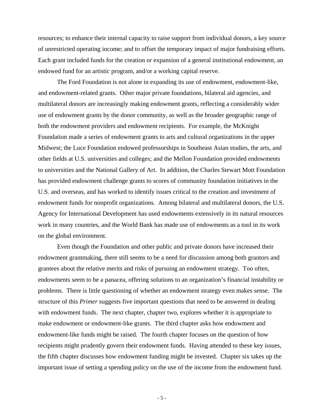resources; to enhance their internal capacity to raise support from individual donors, a key source of unrestricted operating income; and to offset the temporary impact of major fundraising efforts. Each grant included funds for the creation or expansion of a general institutional endowment, an endowed fund for an artistic program, and/or a working capital reserve.

 The Ford Foundation is not alone in expanding its use of endowment, endowment-like, and endowment-related grants. Other major private foundations, bilateral aid agencies, and multilateral donors are increasingly making endowment grants, reflecting a considerably wider use of endowment grants by the donor community, as well as the broader geographic range of both the endowment providers and endowment recipients. For example, the McKnight Foundation made a series of endowment grants to arts and cultural organizations in the upper Midwest; the Luce Foundation endowed professorships in Southeast Asian studies, the arts, and other fields at U.S. universities and colleges; and the Mellon Foundation provided endowments to universities and the National Gallery of Art. In addition, the Charles Stewart Mott Foundation has provided endowment challenge grants to scores of community foundation initiatives in the U.S. and overseas, and has worked to identify issues critical to the creation and investment of endowment funds for nonprofit organizations. Among bilateral and multilateral donors, the U.S. Agency for International Development has used endowments extensively in its natural resources work in many countries, and the World Bank has made use of endowments as a tool in its work on the global environment.

 Even though the Foundation and other public and private donors have increased their endowment grantmaking, there still seems to be a need for discussion among both grantors and grantees about the relative merits and risks of pursuing an endowment strategy. Too often, endowments seem to be a panacea, offering solutions to an organization's financial instability or problems. There is little questioning of whether an endowment strategy even makes sense. The structure of this *Primer* suggests five important questions that need to be answered in dealing with endowment funds. The next chapter, chapter two, explores whether it is appropriate to make endowment or endowment-like grants. The third chapter asks how endowment and endowment-like funds might be raised. The fourth chapter focuses on the question of how recipients might prudently govern their endowment funds. Having attended to these key issues, the fifth chapter discusses how endowment funding might be invested. Chapter six takes up the important issue of setting a spending policy on the use of the income from the endowment fund.

- 5 -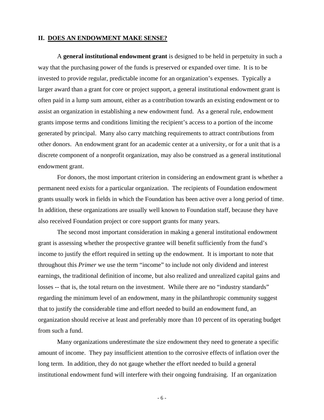#### **II. DOES AN ENDOWMENT MAKE SENSE?**

 A **general institutional endowment grant** is designed to be held in perpetuity in such a way that the purchasing power of the funds is preserved or expanded over time. It is to be invested to provide regular, predictable income for an organization's expenses. Typically a larger award than a grant for core or project support, a general institutional endowment grant is often paid in a lump sum amount, either as a contribution towards an existing endowment or to assist an organization in establishing a new endowment fund. As a general rule, endowment grants impose terms and conditions limiting the recipient's access to a portion of the income generated by principal. Many also carry matching requirements to attract contributions from other donors. An endowment grant for an academic center at a university, or for a unit that is a discrete component of a nonprofit organization, may also be construed as a general institutional endowment grant.

For donors, the most important criterion in considering an endowment grant is whether a permanent need exists for a particular organization. The recipients of Foundation endowment grants usually work in fields in which the Foundation has been active over a long period of time. In addition, these organizations are usually well known to Foundation staff, because they have also received Foundation project or core support grants for many years.

 The second most important consideration in making a general institutional endowment grant is assessing whether the prospective grantee will benefit sufficiently from the fund's income to justify the effort required in setting up the endowment. It is important to note that throughout this *Primer* we use the term "income" to include not only dividend and interest earnings, the traditional definition of income, but also realized and unrealized capital gains and losses -- that is, the total return on the investment. While there are no "industry standards" regarding the minimum level of an endowment, many in the philanthropic community suggest that to justify the considerable time and effort needed to build an endowment fund, an organization should receive at least and preferably more than 10 percent of its operating budget from such a fund.

 Many organizations underestimate the size endowment they need to generate a specific amount of income. They pay insufficient attention to the corrosive effects of inflation over the long term. In addition, they do not gauge whether the effort needed to build a general institutional endowment fund will interfere with their ongoing fundraising. If an organization

- 6 -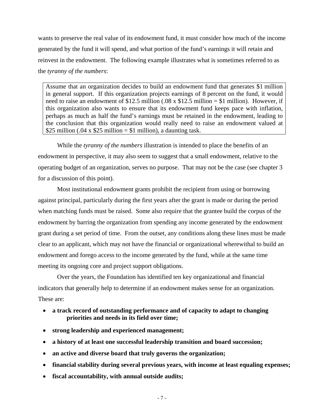wants to preserve the real value of its endowment fund, it must consider how much of the income generated by the fund it will spend, and what portion of the fund's earnings it will retain and reinvest in the endowment. The following example illustrates what is sometimes referred to as the *tyranny of the numbers*:

Assume that an organization decides to build an endowment fund that generates \$1 million in general support. If this organization projects earnings of 8 percent on the fund, it would need to raise an endowment of \$12.5 million (.08 x \$12.5 million = \$1 million). However, if this organization also wants to ensure that its endowment fund keeps pace with inflation, perhaps as much as half the fund's earnings must be retained in the endowment, leading to the conclusion that this organization would really need to raise an endowment valued at \$25 million (.04 x \$25 million = \$1 million), a daunting task.

 While the *tyranny of the numbers* illustration is intended to place the benefits of an endowment in perspective, it may also seem to suggest that a small endowment, relative to the operating budget of an organization, serves no purpose. That may not be the case (see chapter 3 for a discussion of this point).

 Most institutional endowment grants prohibit the recipient from using or borrowing against principal, particularly during the first years after the grant is made or during the period when matching funds must be raised. Some also require that the grantee build the corpus of the endowment by barring the organization from spending any income generated by the endowment grant during a set period of time. From the outset, any conditions along these lines must be made clear to an applicant, which may not have the financial or organizational wherewithal to build an endowment and forego access to the income generated by the fund, while at the same time meeting its ongoing core and project support obligations.

 Over the years, the Foundation has identified ten key organizational and financial indicators that generally help to determine if an endowment makes sense for an organization. These are:

- **a track record of outstanding performance and of capacity to adapt to changing priorities and needs in its field over time;**
- **strong leadership and experienced management;**
- **a history of at least one successful leadership transition and board succession;**
- **an active and diverse board that truly governs the organization;**
- **financial stability during several previous years, with income at least equaling expenses;**
- **fiscal accountability, with annual outside audits;**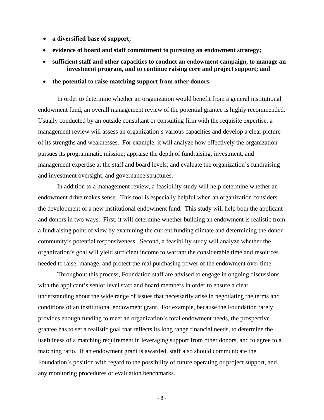- **a diversified base of support;**
- **evidence of board and staff commitment to pursuing an endowment strategy;**
- **sufficient staff and other capacities to conduct an endowment campaign, to manage an investment program, and to continue raising core and project support; and**
- **the potential to raise matching support from other donors.**

 In order to determine whether an organization would benefit from a general institutional endowment fund, an overall management review of the potential grantee is highly recommended. Usually conducted by an outside consultant or consulting firm with the requisite expertise, a management review will assess an organization's various capacities and develop a clear picture of its strengths and weaknesses. For example, it will analyze how effectively the organization pursues its programmatic mission; appraise the depth of fundraising, investment, and management expertise at the staff and board levels; and evaluate the organization's fundraising and investment oversight, and governance structures.

 In addition to a management review, a feasibility study will help determine whether an endowment drive makes sense. This tool is especially helpful when an organization considers the development of a new institutional endowment fund. This study will help both the applicant and donors in two ways. First, it will determine whether building an endowment is realistic from a fundraising point of view by examining the current funding climate and determining the donor community's potential responsiveness. Second, a feasibility study will analyze whether the organization's goal will yield sufficient income to warrant the considerable time and resources needed to raise, manage, and protect the real purchasing power of the endowment over time.

Throughout this process, Foundation staff are advised to engage in ongoing discussions with the applicant's senior level staff and board members in order to ensure a clear understanding about the wide range of issues that necessarily arise in negotiating the terms and conditions of an institutional endowment grant. For example, because the Foundation rarely provides enough funding to meet an organization's total endowment needs, the prospective grantee has to set a realistic goal that reflects its long range financial needs, to determine the usefulness of a matching requirement in leveraging support from other donors, and to agree to a matching ratio. If an endowment grant is awarded, staff also should communicate the Foundation's position with regard to the possibility of future operating or project support, and any monitoring procedures or evaluation benchmarks.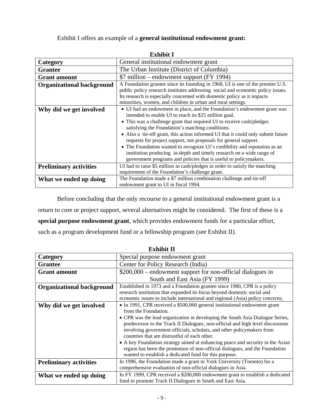Exhibit I offers an example of a **general institutional endowment grant:**

| елише і                          |                                                                                                                                                                                                                                                                                                                                                                                                                                                                                                                                                                                                                                                   |  |  |  |  |
|----------------------------------|---------------------------------------------------------------------------------------------------------------------------------------------------------------------------------------------------------------------------------------------------------------------------------------------------------------------------------------------------------------------------------------------------------------------------------------------------------------------------------------------------------------------------------------------------------------------------------------------------------------------------------------------------|--|--|--|--|
| Category                         | General institutional endowment grant                                                                                                                                                                                                                                                                                                                                                                                                                                                                                                                                                                                                             |  |  |  |  |
| <b>Grantee</b>                   | The Urban Institute (District of Columbia)                                                                                                                                                                                                                                                                                                                                                                                                                                                                                                                                                                                                        |  |  |  |  |
| <b>Grant</b> amount              | \$7 million – endowment support (FY 1994)                                                                                                                                                                                                                                                                                                                                                                                                                                                                                                                                                                                                         |  |  |  |  |
| <b>Organizational background</b> | A Foundation grantee since its founding in 1968, UI is one of the premier U.S.<br>public policy research institutes addressing social and economic policy issues.<br>Its research is especially concerned with domestic policy as it impacts<br>minorities, women, and children in urban and rural settings.                                                                                                                                                                                                                                                                                                                                      |  |  |  |  |
| Why did we get involved          | • UI had an endowment in place, and the Foundation's endowment grant was<br>intended to enable UI to reach its \$25 million goal.<br>• This was a challenge grant that required UI to receive cash/pledges<br>satisfying the Foundation's matching conditions.<br>• Also a tie-off grant, this action informed UI that it could only submit future<br>requests for project support, not proposals for general support.<br>• The Foundation wanted to recognize UI's credibility and reputation as an<br>institution producing in-depth and timely research on a wide range of<br>government programs and policies that is useful to policymakers. |  |  |  |  |
| <b>Preliminary activities</b>    | UI had to raise \$5 million in cash/pledges in order to satisfy the matching<br>requirement of the Foundation's challenge grant.                                                                                                                                                                                                                                                                                                                                                                                                                                                                                                                  |  |  |  |  |
| What we ended up doing           | The Foundation made a \$7 million combination challenge and tie-off<br>endowment grant to UI in fiscal 1994.                                                                                                                                                                                                                                                                                                                                                                                                                                                                                                                                      |  |  |  |  |

Before concluding that the only recourse to a general institutional endowment grant is a return to core or project support, several alternatives might be considered. The first of these is a **special purpose endowment grant**, which provides endowment funds for a particular effort, such as a program development fund or a fellowship program (see Exhibit II).

| <b>Exhibit II</b>                                                                                                                                                     |                                                                                                                                                                                                                                                                                                                                                                                                                                                                                                                                                                                                                           |  |  |  |  |  |  |
|-----------------------------------------------------------------------------------------------------------------------------------------------------------------------|---------------------------------------------------------------------------------------------------------------------------------------------------------------------------------------------------------------------------------------------------------------------------------------------------------------------------------------------------------------------------------------------------------------------------------------------------------------------------------------------------------------------------------------------------------------------------------------------------------------------------|--|--|--|--|--|--|
| Category                                                                                                                                                              | Special purpose endowment grant                                                                                                                                                                                                                                                                                                                                                                                                                                                                                                                                                                                           |  |  |  |  |  |  |
| <b>Grantee</b>                                                                                                                                                        | Center for Policy Research (India)                                                                                                                                                                                                                                                                                                                                                                                                                                                                                                                                                                                        |  |  |  |  |  |  |
| <b>Grant</b> amount                                                                                                                                                   | $$200,000$ – endowment support for non-official dialogues in                                                                                                                                                                                                                                                                                                                                                                                                                                                                                                                                                              |  |  |  |  |  |  |
|                                                                                                                                                                       | South and East Asia (FY 1999)                                                                                                                                                                                                                                                                                                                                                                                                                                                                                                                                                                                             |  |  |  |  |  |  |
| <b>Organizational background</b>                                                                                                                                      | Established in 1973 and a Foundation grantee since 1980, CPR is a policy<br>research institution that expanded its focus beyond domestic social and<br>economic issues to include international and regional (Asia) policy concerns.                                                                                                                                                                                                                                                                                                                                                                                      |  |  |  |  |  |  |
| Why did we get involved                                                                                                                                               | • In 1991, CPR received a \$500,000 general institutional endowment grant<br>from the Foundation.<br>• CPR was the lead organization in developing the South Asia Dialogue Series,<br>predecessor to the Track II Dialogues, non-official and high level discussions<br>involving government officials, scholars, and other policymakers from<br>countries that are distrustful of each other.<br>• A key Foundation strategy aimed at enhancing peace and security in the Asian<br>region has been the promotion of non-official dialogues, and the Foundation<br>wanted to establish a dedicated fund for this purpose. |  |  |  |  |  |  |
| <b>Preliminary activities</b>                                                                                                                                         | In 1996, the Foundation made a grant to York University (Toronto) for a<br>comprehensive evaluation of non-official dialogues in Asia.                                                                                                                                                                                                                                                                                                                                                                                                                                                                                    |  |  |  |  |  |  |
| In FY 1999, CPR received a \$200,000 endowment grant to establish a dedicated<br>What we ended up doing<br>fund to promote Track II Dialogues in South and East Asia. |                                                                                                                                                                                                                                                                                                                                                                                                                                                                                                                                                                                                                           |  |  |  |  |  |  |

**Exhibit I**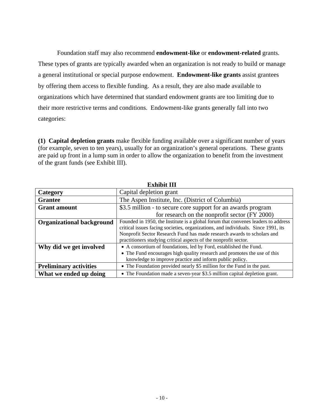Foundation staff may also recommend **endowment-like** or **endowment-related** grants. These types of grants are typically awarded when an organization is not ready to build or manage a general institutional or special purpose endowment. **Endowment-like grants** assist grantees by offering them access to flexible funding. As a result, they are also made available to organizations which have determined that standard endowment grants are too limiting due to their more restrictive terms and conditions. Endowment-like grants generally fall into two categories:

**(1) Capital depletion grants** make flexible funding available over a significant number of years (for example, seven to ten years), usually for an organization's general operations. These grants are paid up front in a lump sum in order to allow the organization to benefit from the investment of the grant funds (see Exhibit III).

| елиние пп                        |                                                                                                                                                                                                                                                   |  |  |  |  |
|----------------------------------|---------------------------------------------------------------------------------------------------------------------------------------------------------------------------------------------------------------------------------------------------|--|--|--|--|
| Category                         | Capital depletion grant                                                                                                                                                                                                                           |  |  |  |  |
| <b>Grantee</b>                   | The Aspen Institute, Inc. (District of Columbia)                                                                                                                                                                                                  |  |  |  |  |
| <b>Grant</b> amount              | \$3.5 million - to secure core support for an awards program                                                                                                                                                                                      |  |  |  |  |
|                                  | for research on the nonprofit sector (FY 2000)                                                                                                                                                                                                    |  |  |  |  |
| <b>Organizational background</b> | Founded in 1950, the Institute is a global forum that convenes leaders to address<br>critical issues facing societies, organizations, and individuals. Since 1991, its<br>Nonprofit Sector Research Fund has made research awards to scholars and |  |  |  |  |
|                                  | practitioners studying critical aspects of the nonprofit sector.                                                                                                                                                                                  |  |  |  |  |
| Why did we get involved          | • A consortium of foundations, led by Ford, established the Fund.                                                                                                                                                                                 |  |  |  |  |
|                                  | • The Fund encourages high quality research and promotes the use of this<br>knowledge to improve practice and inform public policy.                                                                                                               |  |  |  |  |
| <b>Preliminary activities</b>    | • The Foundation provided nearly \$5 million for the Fund in the past.                                                                                                                                                                            |  |  |  |  |
| What we ended up doing           | • The Foundation made a seven-year \$3.5 million capital depletion grant.                                                                                                                                                                         |  |  |  |  |

**Exhibit III**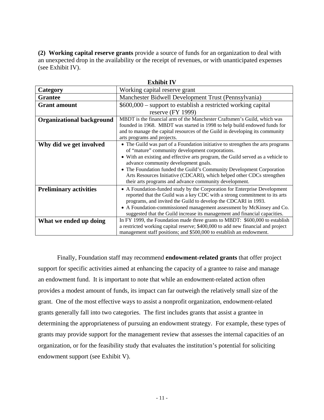**(2) Working capital reserve grants** provide a source of funds for an organization to deal with an unexpected drop in the availability or the receipt of revenues, or with unanticipated expenses (see Exhibit IV).

|                                  | ехинян ту                                                                                                                                                                                                                                                                                                                                                                                                                                                                  |  |  |  |  |  |
|----------------------------------|----------------------------------------------------------------------------------------------------------------------------------------------------------------------------------------------------------------------------------------------------------------------------------------------------------------------------------------------------------------------------------------------------------------------------------------------------------------------------|--|--|--|--|--|
| Category                         | Working capital reserve grant                                                                                                                                                                                                                                                                                                                                                                                                                                              |  |  |  |  |  |
| <b>Grantee</b>                   | Manchester Bidwell Development Trust (Pennsylvania)                                                                                                                                                                                                                                                                                                                                                                                                                        |  |  |  |  |  |
| <b>Grant amount</b>              | $$600,000$ – support to establish a restricted working capital                                                                                                                                                                                                                                                                                                                                                                                                             |  |  |  |  |  |
|                                  | reserve $(FY 1999)$                                                                                                                                                                                                                                                                                                                                                                                                                                                        |  |  |  |  |  |
| <b>Organizational background</b> | MBDT is the financial arm of the Manchester Craftsmen's Guild, which was<br>founded in 1968. MBDT was started in 1998 to help build endowed funds for<br>and to manage the capital resources of the Guild in developing its community<br>arts programs and projects.                                                                                                                                                                                                       |  |  |  |  |  |
| Why did we get involved          | • The Guild was part of a Foundation initiative to strengthen the arts programs<br>of "mature" community development corporations.<br>• With an existing and effective arts program, the Guild served as a vehicle to<br>advance community development goals.<br>• The Foundation funded the Guild's Community Development Corporation<br>Arts Resources Initiative (CDCARI), which helped other CDCs strengthen<br>their arts programs and advance community development. |  |  |  |  |  |
| <b>Preliminary activities</b>    | • A Foundation-funded study by the Corporation for Enterprise Development<br>reported that the Guild was a key CDC with a strong commitment to its arts<br>programs, and invited the Guild to develop the CDCARI in 1993.<br>• A Foundation-commissioned management assessment by McKinsey and Co.<br>suggested that the Guild increase its management and financial capacities.                                                                                           |  |  |  |  |  |
| What we ended up doing           | In FY 1999, the Foundation made three grants to MBDT: \$600,000 to establish<br>a restricted working capital reserve; \$400,000 to add new financial and project<br>management staff positions; and \$500,000 to establish an endowment.                                                                                                                                                                                                                                   |  |  |  |  |  |

**Exhibit IV** 

 Finally, Foundation staff may recommend **endowment-related grants** that offer project support for specific activities aimed at enhancing the capacity of a grantee to raise and manage an endowment fund. It is important to note that while an endowment-related action often provides a modest amount of funds, its impact can far outweigh the relatively small size of the grant. One of the most effective ways to assist a nonprofit organization, endowment-related grants generally fall into two categories. The first includes grants that assist a grantee in determining the appropriateness of pursuing an endowment strategy. For example, these types of grants may provide support for the management review that assesses the internal capacities of an organization, or for the feasibility study that evaluates the institution's potential for soliciting endowment support (see Exhibit V).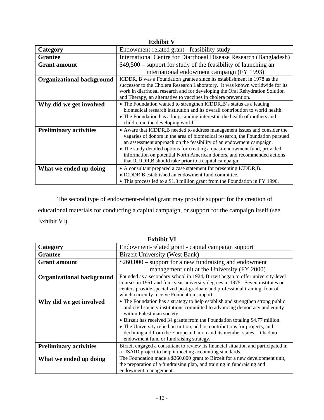| <b>Exhibit V</b>                 |                                                                                                                                                                                                                                                                                                                                                                                                                                                       |  |  |  |  |  |
|----------------------------------|-------------------------------------------------------------------------------------------------------------------------------------------------------------------------------------------------------------------------------------------------------------------------------------------------------------------------------------------------------------------------------------------------------------------------------------------------------|--|--|--|--|--|
| Category                         | Endowment-related grant - feasibility study                                                                                                                                                                                                                                                                                                                                                                                                           |  |  |  |  |  |
| <b>Grantee</b>                   | International Centre for Diarrhoeal Disease Research (Bangladesh)                                                                                                                                                                                                                                                                                                                                                                                     |  |  |  |  |  |
| <b>Grant</b> amount              | \$49,500 – support for study of the feasibility of launching an                                                                                                                                                                                                                                                                                                                                                                                       |  |  |  |  |  |
|                                  | international endowment campaign (FY 1993)                                                                                                                                                                                                                                                                                                                                                                                                            |  |  |  |  |  |
| <b>Organizational background</b> | ICDDR, B was a Foundation grantee since its establishment in 1978 as the<br>successor to the Cholera Research Laboratory. It was known worldwide for its<br>work in diarrhoeal research and for developing the Oral Rehydration Solution<br>and Therapy, an alternative to vaccines in cholera prevention.                                                                                                                                            |  |  |  |  |  |
| Why did we get involved          | • The Foundation wanted to strengthen ICDDR, B's status as a leading<br>biomedical research institution and its overall contribution to world health.<br>• The Foundation has a longstanding interest in the health of mothers and<br>children in the developing world.                                                                                                                                                                               |  |  |  |  |  |
| <b>Preliminary activities</b>    | • Aware that ICDDR, B needed to address management issues and consider the<br>vagaries of donors in the area of biomedical research, the Foundation pursued<br>an assessment approach on the feasibility of an endowment campaign.<br>• The study detailed options for creating a quasi-endowment fund, provided<br>information on potential North American donors, and recommended actions<br>that ICDDR, B should take prior to a capital campaign. |  |  |  |  |  |
| What we ended up doing           | • A consultant prepared a case statement for presenting ICDDR,B.<br>• ICDDR, B established an endowment fund committee.<br>• This process led to a \$1.3 million grant from the Foundation in FY 1996.                                                                                                                                                                                                                                                |  |  |  |  |  |

The second type of endowment-related grant may provide support for the creation of educational materials for conducting a capital campaign, or support for the campaign itself (see Exhibit VI).

|                                  | елшие ут                                                                                                                                                                                                                                                                                                                                                   |  |  |  |  |
|----------------------------------|------------------------------------------------------------------------------------------------------------------------------------------------------------------------------------------------------------------------------------------------------------------------------------------------------------------------------------------------------------|--|--|--|--|
| Category                         | Endowment-related grant - capital campaign support                                                                                                                                                                                                                                                                                                         |  |  |  |  |
| <b>Grantee</b>                   | <b>Birzeit University (West Bank)</b>                                                                                                                                                                                                                                                                                                                      |  |  |  |  |
| <b>Grant amount</b>              | $$260,000$ – support for a new fundraising and endowment                                                                                                                                                                                                                                                                                                   |  |  |  |  |
|                                  | management unit at the University (FY 2000)                                                                                                                                                                                                                                                                                                                |  |  |  |  |
| <b>Organizational background</b> | Founded as a secondary school in 1924, Birzeit began to offer university-level<br>courses in 1951 and four-year university degrees in 1975. Seven institutes or<br>centers provide specialized post-graduate and professional training, four of<br>which currently receive Foundation support.                                                             |  |  |  |  |
| Why did we get involved          | • The Foundation has a strategy to help establish and strengthen strong public<br>and civil society institutions committed to advancing democracy and equity<br>within Palestinian society.<br>• Birzeit has received 34 grants from the Foundation totaling \$4.77 million.<br>• The University relied on tuition, ad hoc contributions for projects, and |  |  |  |  |
|                                  | declining aid from the European Union and its member states. It had no<br>endowment fund or fundraising strategy.                                                                                                                                                                                                                                          |  |  |  |  |
| <b>Preliminary activities</b>    | Birzeit engaged a consultant to review its financial situation and participated in<br>a USAID project to help it meeting accounting standards.                                                                                                                                                                                                             |  |  |  |  |
| What we ended up doing           | The Foundation made a \$260,000 grant to Birzeit for a new development unit,<br>the preparation of a fundraising plan, and training in fundraising and<br>endowment management.                                                                                                                                                                            |  |  |  |  |

**Exhibit VI**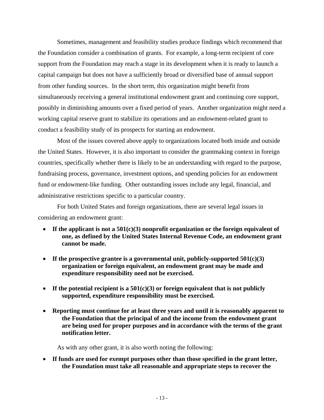Sometimes, management and feasibility studies produce findings which recommend that the Foundation consider a combination of grants. For example, a long-term recipient of core support from the Foundation may reach a stage in its development when it is ready to launch a capital campaign but does not have a sufficiently broad or diversified base of annual support from other funding sources. In the short term, this organization might benefit from simultaneously receiving a general institutional endowment grant and continuing core support, possibly in diminishing amounts over a fixed period of years. Another organization might need a working capital reserve grant to stabilize its operations and an endowment-related grant to conduct a feasibility study of its prospects for starting an endowment.

 Most of the issues covered above apply to organizations located both inside and outside the United States. However, it is also important to consider the grantmaking context in foreign countries, specifically whether there is likely to be an understanding with regard to the purpose, fundraising process, governance, investment options, and spending policies for an endowment fund or endowment-like funding. Other outstanding issues include any legal, financial, and administrative restrictions specific to a particular country.

 For both United States and foreign organizations, there are several legal issues in considering an endowment grant:

- **If the applicant is not a 501(c)(3) nonprofit organization or the foreign equivalent of one, as defined by the United States Internal Revenue Code, an endowment grant cannot be made.**
- If the prospective grantee is a governmental unit, publicly-supported  $501(c)(3)$ **organization or foreign equivalent, an endowment grant may be made and expenditure responsibility need not be exercised.**
- **If the potential recipient is a 501(c)(3) or foreign equivalent that is not publicly supported, expenditure responsibility must be exercised.**
- **Reporting must continue for at least three years and until it is reasonably apparent to the Foundation that the principal of and the income from the endowment grant are being used for proper purposes and in accordance with the terms of the grant notification letter.**

As with any other grant, it is also worth noting the following:

• **If funds are used for exempt purposes other than those specified in the grant letter, the Foundation must take all reasonable and appropriate steps to recover the**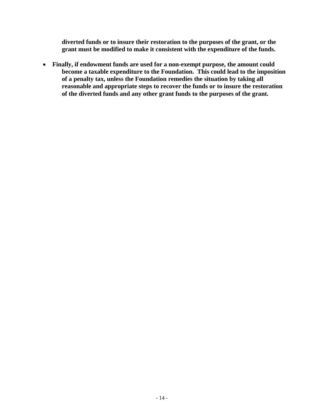**diverted funds or to insure their restoration to the purposes of the grant, or the grant must be modified to make it consistent with the expenditure of the funds.** 

• **Finally, if endowment funds are used for a non-exempt purpose, the amount could become a taxable expenditure to the Foundation. This could lead to the imposition of a penalty tax, unless the Foundation remedies the situation by taking all reasonable and appropriate steps to recover the funds or to insure the restoration of the diverted funds and any other grant funds to the purposes of the grant.**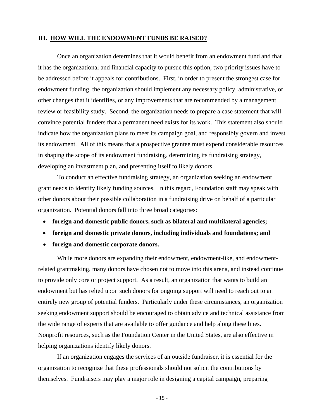#### **III. HOW WILL THE ENDOWMENT FUNDS BE RAISED?**

 Once an organization determines that it would benefit from an endowment fund and that it has the organizational and financial capacity to pursue this option, two priority issues have to be addressed before it appeals for contributions. First, in order to present the strongest case for endowment funding, the organization should implement any necessary policy, administrative, or other changes that it identifies, or any improvements that are recommended by a management review or feasibility study. Second, the organization needs to prepare a case statement that will convince potential funders that a permanent need exists for its work. This statement also should indicate how the organization plans to meet its campaign goal, and responsibly govern and invest its endowment. All of this means that a prospective grantee must expend considerable resources in shaping the scope of its endowment fundraising, determining its fundraising strategy, developing an investment plan, and presenting itself to likely donors.

 To conduct an effective fundraising strategy, an organization seeking an endowment grant needs to identify likely funding sources. In this regard, Foundation staff may speak with other donors about their possible collaboration in a fundraising drive on behalf of a particular organization. Potential donors fall into three broad categories:

- **foreign and domestic public donors, such as bilateral and multilateral agencies;**
- **foreign and domestic private donors, including individuals and foundations; and**
- **foreign and domestic corporate donors.**

 While more donors are expanding their endowment, endowment-like, and endowmentrelated grantmaking, many donors have chosen not to move into this arena, and instead continue to provide only core or project support. As a result, an organization that wants to build an endowment but has relied upon such donors for ongoing support will need to reach out to an entirely new group of potential funders. Particularly under these circumstances, an organization seeking endowment support should be encouraged to obtain advice and technical assistance from the wide range of experts that are available to offer guidance and help along these lines. Nonprofit resources, such as the Foundation Center in the United States, are also effective in helping organizations identify likely donors.

 If an organization engages the services of an outside fundraiser, it is essential for the organization to recognize that these professionals should not solicit the contributions by themselves. Fundraisers may play a major role in designing a capital campaign, preparing

- 15 -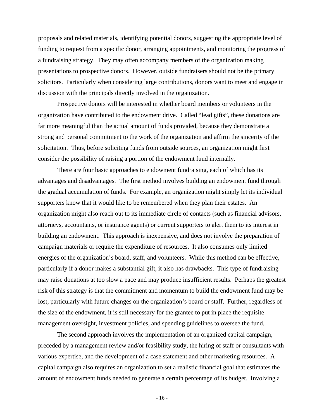proposals and related materials, identifying potential donors, suggesting the appropriate level of funding to request from a specific donor, arranging appointments, and monitoring the progress of a fundraising strategy. They may often accompany members of the organization making presentations to prospective donors. However, outside fundraisers should not be the primary solicitors. Particularly when considering large contributions, donors want to meet and engage in discussion with the principals directly involved in the organization.

 Prospective donors will be interested in whether board members or volunteers in the organization have contributed to the endowment drive. Called "lead gifts", these donations are far more meaningful than the actual amount of funds provided, because they demonstrate a strong and personal commitment to the work of the organization and affirm the sincerity of the solicitation. Thus, before soliciting funds from outside sources, an organization might first consider the possibility of raising a portion of the endowment fund internally.

 There are four basic approaches to endowment fundraising, each of which has its advantages and disadvantages. The first method involves building an endowment fund through the gradual accumulation of funds. For example, an organization might simply let its individual supporters know that it would like to be remembered when they plan their estates. An organization might also reach out to its immediate circle of contacts (such as financial advisors, attorneys, accountants, or insurance agents) or current supporters to alert them to its interest in building an endowment. This approach is inexpensive, and does not involve the preparation of campaign materials or require the expenditure of resources. It also consumes only limited energies of the organization's board, staff, and volunteers. While this method can be effective, particularly if a donor makes a substantial gift, it also has drawbacks. This type of fundraising may raise donations at too slow a pace and may produce insufficient results. Perhaps the greatest risk of this strategy is that the commitment and momentum to build the endowment fund may be lost, particularly with future changes on the organization's board or staff. Further, regardless of the size of the endowment, it is still necessary for the grantee to put in place the requisite management oversight, investment policies, and spending guidelines to oversee the fund.

 The second approach involves the implementation of an organized capital campaign, preceded by a management review and/or feasibility study, the hiring of staff or consultants with various expertise, and the development of a case statement and other marketing resources. A capital campaign also requires an organization to set a realistic financial goal that estimates the amount of endowment funds needed to generate a certain percentage of its budget. Involving a

- 16 -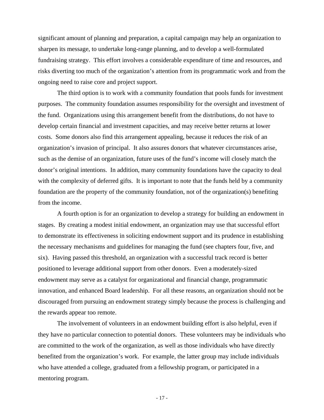significant amount of planning and preparation, a capital campaign may help an organization to sharpen its message, to undertake long-range planning, and to develop a well-formulated fundraising strategy. This effort involves a considerable expenditure of time and resources, and risks diverting too much of the organization's attention from its programmatic work and from the ongoing need to raise core and project support.

 The third option is to work with a community foundation that pools funds for investment purposes. The community foundation assumes responsibility for the oversight and investment of the fund. Organizations using this arrangement benefit from the distributions, do not have to develop certain financial and investment capacities, and may receive better returns at lower costs. Some donors also find this arrangement appealing, because it reduces the risk of an organization's invasion of principal. It also assures donors that whatever circumstances arise, such as the demise of an organization, future uses of the fund's income will closely match the donor's original intentions. In addition, many community foundations have the capacity to deal with the complexity of deferred gifts. It is important to note that the funds held by a community foundation are the property of the community foundation, not of the organization(s) benefiting from the income.

 A fourth option is for an organization to develop a strategy for building an endowment in stages. By creating a modest initial endowment, an organization may use that successful effort to demonstrate its effectiveness in soliciting endowment support and its prudence in establishing the necessary mechanisms and guidelines for managing the fund (see chapters four, five, and six). Having passed this threshold, an organization with a successful track record is better positioned to leverage additional support from other donors. Even a moderately-sized endowment may serve as a catalyst for organizational and financial change, programmatic innovation, and enhanced Board leadership. For all these reasons, an organization should not be discouraged from pursuing an endowment strategy simply because the process is challenging and the rewards appear too remote.

 The involvement of volunteers in an endowment building effort is also helpful, even if they have no particular connection to potential donors. These volunteers may be individuals who are committed to the work of the organization, as well as those individuals who have directly benefited from the organization's work. For example, the latter group may include individuals who have attended a college, graduated from a fellowship program, or participated in a mentoring program.

- 17 -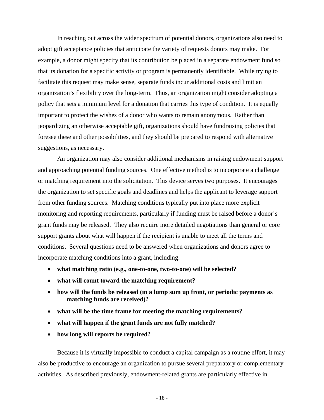In reaching out across the wider spectrum of potential donors, organizations also need to adopt gift acceptance policies that anticipate the variety of requests donors may make. For example, a donor might specify that its contribution be placed in a separate endowment fund so that its donation for a specific activity or program is permanently identifiable. While trying to facilitate this request may make sense, separate funds incur additional costs and limit an organization's flexibility over the long-term. Thus, an organization might consider adopting a policy that sets a minimum level for a donation that carries this type of condition. It is equally important to protect the wishes of a donor who wants to remain anonymous. Rather than jeopardizing an otherwise acceptable gift, organizations should have fundraising policies that foresee these and other possibilities, and they should be prepared to respond with alternative suggestions, as necessary.

 An organization may also consider additional mechanisms in raising endowment support and approaching potential funding sources. One effective method is to incorporate a challenge or matching requirement into the solicitation. This device serves two purposes. It encourages the organization to set specific goals and deadlines and helps the applicant to leverage support from other funding sources. Matching conditions typically put into place more explicit monitoring and reporting requirements, particularly if funding must be raised before a donor's grant funds may be released. They also require more detailed negotiations than general or core support grants about what will happen if the recipient is unable to meet all the terms and conditions. Several questions need to be answered when organizations and donors agree to incorporate matching conditions into a grant, including:

- **what matching ratio (e.g., one-to-one, two-to-one) will be selected?**
- **what will count toward the matching requirement?**
- **how will the funds be released (in a lump sum up front, or periodic payments as matching funds are received)?**
- **what will be the time frame for meeting the matching requirements?**
- **what will happen if the grant funds are not fully matched?**
- **how long will reports be required?**

 Because it is virtually impossible to conduct a capital campaign as a routine effort, it may also be productive to encourage an organization to pursue several preparatory or complementary activities. As described previously, endowment-related grants are particularly effective in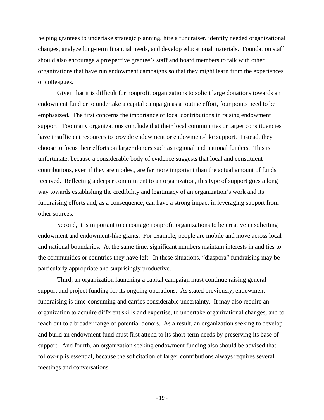helping grantees to undertake strategic planning, hire a fundraiser, identify needed organizational changes, analyze long-term financial needs, and develop educational materials. Foundation staff should also encourage a prospective grantee's staff and board members to talk with other organizations that have run endowment campaigns so that they might learn from the experiences of colleagues.

 Given that it is difficult for nonprofit organizations to solicit large donations towards an endowment fund or to undertake a capital campaign as a routine effort, four points need to be emphasized. The first concerns the importance of local contributions in raising endowment support. Too many organizations conclude that their local communities or target constituencies have insufficient resources to provide endowment or endowment-like support. Instead, they choose to focus their efforts on larger donors such as regional and national funders. This is unfortunate, because a considerable body of evidence suggests that local and constituent contributions, even if they are modest, are far more important than the actual amount of funds received. Reflecting a deeper commitment to an organization, this type of support goes a long way towards establishing the credibility and legitimacy of an organization's work and its fundraising efforts and, as a consequence, can have a strong impact in leveraging support from other sources.

 Second, it is important to encourage nonprofit organizations to be creative in soliciting endowment and endowment-like grants. For example, people are mobile and move across local and national boundaries. At the same time, significant numbers maintain interests in and ties to the communities or countries they have left. In these situations, "diaspora" fundraising may be particularly appropriate and surprisingly productive.

 Third, an organization launching a capital campaign must continue raising general support and project funding for its ongoing operations. As stated previously, endowment fundraising is time-consuming and carries considerable uncertainty. It may also require an organization to acquire different skills and expertise, to undertake organizational changes, and to reach out to a broader range of potential donors. As a result, an organization seeking to develop and build an endowment fund must first attend to its short-term needs by preserving its base of support. And fourth, an organization seeking endowment funding also should be advised that follow-up is essential, because the solicitation of larger contributions always requires several meetings and conversations.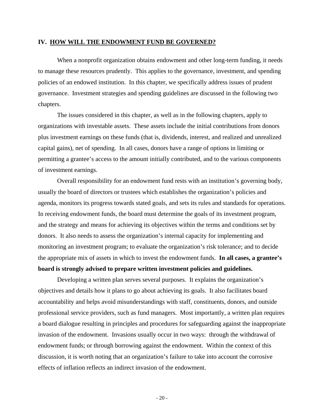#### **IV. HOW WILL THE ENDOWMENT FUND BE GOVERNED?**

 When a nonprofit organization obtains endowment and other long-term funding, it needs to manage these resources prudently. This applies to the governance, investment, and spending policies of an endowed institution. In this chapter, we specifically address issues of prudent governance. Investment strategies and spending guidelines are discussed in the following two chapters.

The issues considered in this chapter, as well as in the following chapters, apply to organizations with investable assets. These assets include the initial contributions from donors plus investment earnings on these funds (that is, dividends, interest, and realized and unrealized capital gains), net of spending. In all cases, donors have a range of options in limiting or permitting a grantee's access to the amount initially contributed, and to the various components of investment earnings.

 Overall responsibility for an endowment fund rests with an institution's governing body, usually the board of directors or trustees which establishes the organization's policies and agenda, monitors its progress towards stated goals, and sets its rules and standards for operations. In receiving endowment funds, the board must determine the goals of its investment program, and the strategy and means for achieving its objectives within the terms and conditions set by donors. It also needs to assess the organization's internal capacity for implementing and monitoring an investment program; to evaluate the organization's risk tolerance; and to decide the appropriate mix of assets in which to invest the endowment funds. **In all cases, a grantee's board is strongly advised to prepare written investment policies and guidelines.**

 Developing a written plan serves several purposes. It explains the organization's objectives and details how it plans to go about achieving its goals. It also facilitates board accountability and helps avoid misunderstandings with staff, constituents, donors, and outside professional service providers, such as fund managers. Most importantly, a written plan requires a board dialogue resulting in principles and procedures for safeguarding against the inappropriate invasion of the endowment. Invasions usually occur in two ways: through the withdrawal of endowment funds; or through borrowing against the endowment. Within the context of this discussion, it is worth noting that an organization's failure to take into account the corrosive effects of inflation reflects an indirect invasion of the endowment.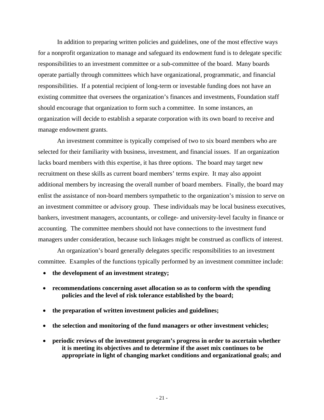In addition to preparing written policies and guidelines, one of the most effective ways for a nonprofit organization to manage and safeguard its endowment fund is to delegate specific responsibilities to an investment committee or a sub-committee of the board. Many boards operate partially through committees which have organizational, programmatic, and financial responsibilities. If a potential recipient of long-term or investable funding does not have an existing committee that oversees the organization's finances and investments, Foundation staff should encourage that organization to form such a committee. In some instances, an organization will decide to establish a separate corporation with its own board to receive and manage endowment grants.

 An investment committee is typically comprised of two to six board members who are selected for their familiarity with business, investment, and financial issues. If an organization lacks board members with this expertise, it has three options. The board may target new recruitment on these skills as current board members' terms expire. It may also appoint additional members by increasing the overall number of board members. Finally, the board may enlist the assistance of non-board members sympathetic to the organization's mission to serve on an investment committee or advisory group. These individuals may be local business executives, bankers, investment managers, accountants, or college- and university-level faculty in finance or accounting. The committee members should not have connections to the investment fund managers under consideration, because such linkages might be construed as conflicts of interest.

 An organization's board generally delegates specific responsibilities to an investment committee. Examples of the functions typically performed by an investment committee include:

- **the development of an investment strategy;**
- **recommendations concerning asset allocation so as to conform with the spending policies and the level of risk tolerance established by the board;**
- **the preparation of written investment policies and guidelines;**
- **the selection and monitoring of the fund managers or other investment vehicles;**
- **periodic reviews of the investment program's progress in order to ascertain whether it is meeting its objectives and to determine if the asset mix continues to be appropriate in light of changing market conditions and organizational goals; and**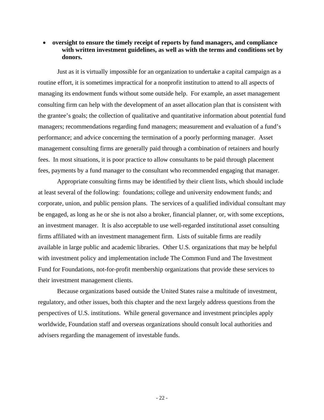#### • **oversight to ensure the timely receipt of reports by fund managers, and compliance with written investment guidelines, as well as with the terms and conditions set by donors.**

 Just as it is virtually impossible for an organization to undertake a capital campaign as a routine effort, it is sometimes impractical for a nonprofit institution to attend to all aspects of managing its endowment funds without some outside help. For example, an asset management consulting firm can help with the development of an asset allocation plan that is consistent with the grantee's goals; the collection of qualitative and quantitative information about potential fund managers; recommendations regarding fund managers; measurement and evaluation of a fund's performance; and advice concerning the termination of a poorly performing manager. Asset management consulting firms are generally paid through a combination of retainers and hourly fees. In most situations, it is poor practice to allow consultants to be paid through placement fees, payments by a fund manager to the consultant who recommended engaging that manager.

 Appropriate consulting firms may be identified by their client lists, which should include at least several of the following: foundations; college and university endowment funds; and corporate, union, and public pension plans. The services of a qualified individual consultant may be engaged, as long as he or she is not also a broker, financial planner, or, with some exceptions, an investment manager. It is also acceptable to use well-regarded institutional asset consulting firms affiliated with an investment management firm. Lists of suitable firms are readily available in large public and academic libraries. Other U.S. organizations that may be helpful with investment policy and implementation include The Common Fund and The Investment Fund for Foundations, not-for-profit membership organizations that provide these services to their investment management clients.

 Because organizations based outside the United States raise a multitude of investment, regulatory, and other issues, both this chapter and the next largely address questions from the perspectives of U.S. institutions. While general governance and investment principles apply worldwide, Foundation staff and overseas organizations should consult local authorities and advisers regarding the management of investable funds.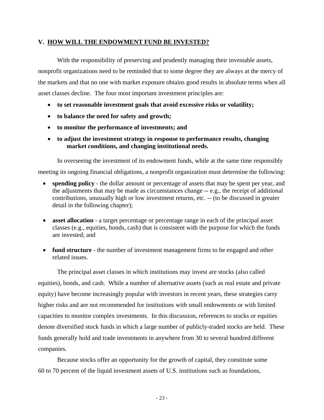#### **V. HOW WILL THE ENDOWMENT FUND BE INVESTED?**

 With the responsibility of preserving and prudently managing their investable assets, nonprofit organizations need to be reminded that to some degree they are always at the mercy of the markets and that no one with market exposure obtains good results in absolute terms when all asset classes decline. The four most important investment principles are:

- **to set reasonable investment goals that avoid excessive risks or volatility;**
- **to balance the need for safety and growth;**
- **to monitor the performance of investments; and**
- **to adjust the investment strategy in response to performance results, changing market conditions, and changing institutional needs.**

 In overseeing the investment of its endowment funds, while at the same time responsibly meeting its ongoing financial obligations, a nonprofit organization must determine the following:

- **spending policy** the dollar amount or percentage of assets that may be spent per year, and the adjustments that may be made as circumstances change -- e.g., the receipt of additional contributions, unusually high or low investment returns, etc. -- (to be discussed in greater detail in the following chapter);
- **asset allocation** a target percentage or percentage range in each of the principal asset classes (e.g., equities, bonds, cash) that is consistent with the purpose for which the funds are invested; and
- **fund structure** the number of investment management firms to be engaged and other related issues.

 The principal asset classes in which institutions may invest are stocks (also called equities), bonds, and cash. While a number of alternative assets (such as real estate and private equity) have become increasingly popular with investors in recent years, these strategies carry higher risks and are not recommended for institutions with small endowments or with limited capacities to monitor complex investments. In this discussion, references to stocks or equities denote diversified stock funds in which a large number of publicly-traded stocks are held. These funds generally hold and trade investments in anywhere from 30 to several hundred different companies.

 Because stocks offer an opportunity for the growth of capital, they constitute some 60 to 70 percent of the liquid investment assets of U.S. institutions such as foundations,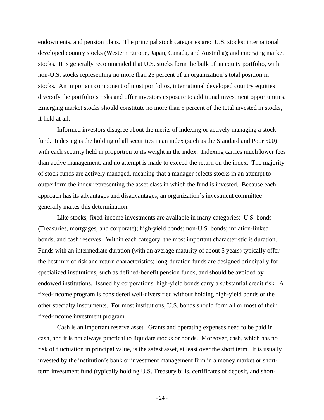endowments, and pension plans. The principal stock categories are: U.S. stocks; international developed country stocks (Western Europe, Japan, Canada, and Australia); and emerging market stocks. It is generally recommended that U.S. stocks form the bulk of an equity portfolio, with non-U.S. stocks representing no more than 25 percent of an organization's total position in stocks. An important component of most portfolios, international developed country equities diversify the portfolio's risks and offer investors exposure to additional investment opportunities. Emerging market stocks should constitute no more than 5 percent of the total invested in stocks, if held at all.

 Informed investors disagree about the merits of indexing or actively managing a stock fund. Indexing is the holding of all securities in an index (such as the Standard and Poor 500) with each security held in proportion to its weight in the index. Indexing carries much lower fees than active management, and no attempt is made to exceed the return on the index. The majority of stock funds are actively managed, meaning that a manager selects stocks in an attempt to outperform the index representing the asset class in which the fund is invested. Because each approach has its advantages and disadvantages, an organization's investment committee generally makes this determination.

 Like stocks, fixed-income investments are available in many categories: U.S. bonds (Treasuries, mortgages, and corporate); high-yield bonds; non-U.S. bonds; inflation-linked bonds; and cash reserves. Within each category, the most important characteristic is duration. Funds with an intermediate duration (with an average maturity of about 5 years) typically offer the best mix of risk and return characteristics; long-duration funds are designed principally for specialized institutions, such as defined-benefit pension funds, and should be avoided by endowed institutions. Issued by corporations, high-yield bonds carry a substantial credit risk. A fixed-income program is considered well-diversified without holding high-yield bonds or the other specialty instruments. For most institutions, U.S. bonds should form all or most of their fixed-income investment program.

 Cash is an important reserve asset. Grants and operating expenses need to be paid in cash, and it is not always practical to liquidate stocks or bonds. Moreover, cash, which has no risk of fluctuation in principal value, is the safest asset, at least over the short term. It is usually invested by the institution's bank or investment management firm in a money market or shortterm investment fund (typically holding U.S. Treasury bills, certificates of deposit, and short-

- 24 -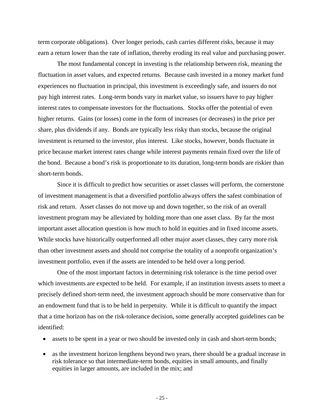term corporate obligations). Over longer periods, cash carries different risks, because it may earn a return lower than the rate of inflation, thereby eroding its real value and purchasing power.

 The most fundamental concept in investing is the relationship between risk, meaning the fluctuation in asset values, and expected returns. Because cash invested in a money market fund experiences no fluctuation in principal, this investment is exceedingly safe, and issuers do not pay high interest rates. Long-term bonds vary in market value, so issuers have to pay higher interest rates to compensate investors for the fluctuations. Stocks offer the potential of even higher returns. Gains (or losses) come in the form of increases (or decreases) in the price per share, plus dividends if any. Bonds are typically less risky than stocks, because the original investment is returned to the investor, plus interest. Like stocks, however, bonds fluctuate in price because market interest rates change while interest payments remain fixed over the life of the bond. Because a bond's risk is proportionate to its duration, long-term bonds are riskier than short-term bonds.

 Since it is difficult to predict how securities or asset classes will perform, the cornerstone of investment management is that a diversified portfolio always offers the safest combination of risk and return. Asset classes do not move up and down together, so the risk of an overall investment program may be alleviated by holding more than one asset class. By far the most important asset allocation question is how much to hold in equities and in fixed income assets. While stocks have historically outperformed all other major asset classes, they carry more risk than other investment assets and should not comprise the totality of a nonprofit organization's investment portfolio, even if the assets are intended to be held over a long period.

 One of the most important factors in determining risk tolerance is the time period over which investments are expected to be held. For example, if an institution invests assets to meet a precisely defined short-term need, the investment approach should be more conservative than for an endowment fund that is to be held in perpetuity. While it is difficult to quantify the impact that a time horizon has on the risk-tolerance decision, some generally accepted guidelines can be identified:

- assets to be spent in a year or two should be invested only in cash and short-term bonds;
- as the investment horizon lengthens beyond two years, there should be a gradual increase in risk tolerance so that intermediate-term bonds, equities in small amounts, and finally equities in larger amounts, are included in the mix; and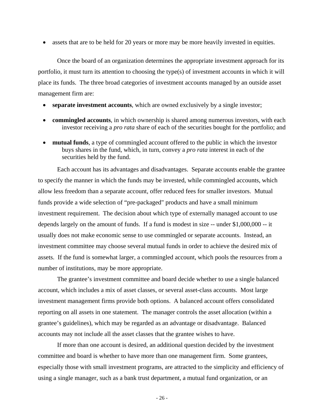• assets that are to be held for 20 years or more may be more heavily invested in equities.

 Once the board of an organization determines the appropriate investment approach for its portfolio, it must turn its attention to choosing the type(s) of investment accounts in which it will place its funds. The three broad categories of investment accounts managed by an outside asset management firm are:

- separate investment accounts, which are owned exclusively by a single investor;
- **commingled accounts**, in which ownership is shared among numerous investors, with each investor receiving a *pro rata* share of each of the securities bought for the portfolio; and
- **mutual funds**, a type of commingled account offered to the public in which the investor buys shares in the fund, which, in turn, convey a *pro rata* interest in each of the securities held by the fund.

 Each account has its advantages and disadvantages. Separate accounts enable the grantee to specify the manner in which the funds may be invested, while commingled accounts, which allow less freedom than a separate account, offer reduced fees for smaller investors. Mutual funds provide a wide selection of "pre-packaged" products and have a small minimum investment requirement. The decision about which type of externally managed account to use depends largely on the amount of funds. If a fund is modest in size -- under \$1,000,000 -- it usually does not make economic sense to use commingled or separate accounts. Instead, an investment committee may choose several mutual funds in order to achieve the desired mix of assets. If the fund is somewhat larger, a commingled account, which pools the resources from a number of institutions, may be more appropriate.

 The grantee's investment committee and board decide whether to use a single balanced account, which includes a mix of asset classes, or several asset-class accounts. Most large investment management firms provide both options. A balanced account offers consolidated reporting on all assets in one statement. The manager controls the asset allocation (within a grantee's guidelines), which may be regarded as an advantage or disadvantage. Balanced accounts may not include all the asset classes that the grantee wishes to have.

 If more than one account is desired, an additional question decided by the investment committee and board is whether to have more than one management firm. Some grantees, especially those with small investment programs, are attracted to the simplicity and efficiency of using a single manager, such as a bank trust department, a mutual fund organization, or an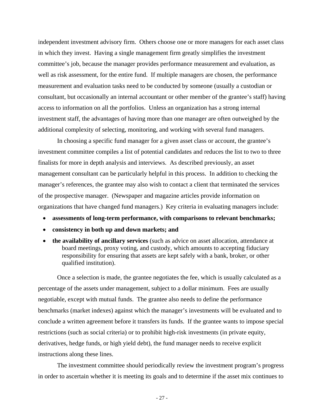independent investment advisory firm. Others choose one or more managers for each asset class in which they invest. Having a single management firm greatly simplifies the investment committee's job, because the manager provides performance measurement and evaluation, as well as risk assessment, for the entire fund. If multiple managers are chosen, the performance measurement and evaluation tasks need to be conducted by someone (usually a custodian or consultant, but occasionally an internal accountant or other member of the grantee's staff) having access to information on all the portfolios. Unless an organization has a strong internal investment staff, the advantages of having more than one manager are often outweighed by the additional complexity of selecting, monitoring, and working with several fund managers.

 In choosing a specific fund manager for a given asset class or account, the grantee's investment committee compiles a list of potential candidates and reduces the list to two to three finalists for more in depth analysis and interviews. As described previously, an asset management consultant can be particularly helpful in this process. In addition to checking the manager's references, the grantee may also wish to contact a client that terminated the services of the prospective manager. (Newspaper and magazine articles provide information on organizations that have changed fund managers.) Key criteria in evaluating managers include:

- **assessments of long-term performance, with comparisons to relevant benchmarks;**
- **consistency in both up and down markets; and**
- **the availability of ancillary services** (such as advice on asset allocation, attendance at board meetings, proxy voting, and custody, which amounts to accepting fiduciary responsibility for ensuring that assets are kept safely with a bank, broker, or other qualified institution).

 Once a selection is made, the grantee negotiates the fee, which is usually calculated as a percentage of the assets under management, subject to a dollar minimum. Fees are usually negotiable, except with mutual funds. The grantee also needs to define the performance benchmarks (market indexes) against which the manager's investments will be evaluated and to conclude a written agreement before it transfers its funds. If the grantee wants to impose special restrictions (such as social criteria) or to prohibit high-risk investments (in private equity, derivatives, hedge funds, or high yield debt), the fund manager needs to receive explicit instructions along these lines.

 The investment committee should periodically review the investment program's progress in order to ascertain whether it is meeting its goals and to determine if the asset mix continues to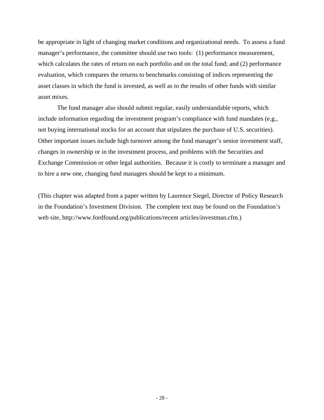be appropriate in light of changing market conditions and organizational needs. To assess a fund manager's performance, the committee should use two tools: (1) performance measurement, which calculates the rates of return on each portfolio and on the total fund; and (2) performance evaluation, which compares the returns to benchmarks consisting of indices representing the asset classes in which the fund is invested, as well as to the results of other funds with similar asset mixes.

 The fund manager also should submit regular, easily understandable reports, which include information regarding the investment program's compliance with fund mandates (e.g., not buying international stocks for an account that stipulates the purchase of U.S. securities). Other important issues include high turnover among the fund manager's senior investment staff, changes in ownership or in the investment process, and problems with the Securities and Exchange Commission or other legal authorities. Because it is costly to terminate a manager and to hire a new one, changing fund managers should be kept to a minimum.

(This chapter was adapted from a paper written by Laurence Siegel, Director of Policy Research in the Foundation's Investment Division. The complete text may be found on the Foundation's web site, http://www.fordfound.org/publications/recent articles/investman.cfm.)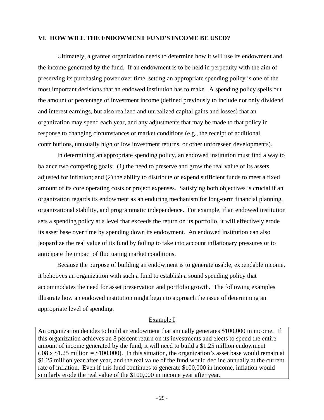#### **VI. HOW WILL THE ENDOWMENT FUND'S INCOME BE USED?**

 Ultimately, a grantee organization needs to determine how it will use its endowment and the income generated by the fund. If an endowment is to be held in perpetuity with the aim of preserving its purchasing power over time, setting an appropriate spending policy is one of the most important decisions that an endowed institution has to make. A spending policy spells out the amount or percentage of investment income (defined previously to include not only dividend and interest earnings, but also realized and unrealized capital gains and losses) that an organization may spend each year, and any adjustments that may be made to that policy in response to changing circumstances or market conditions (e.g., the receipt of additional contributions, unusually high or low investment returns, or other unforeseen developments).

 In determining an appropriate spending policy, an endowed institution must find a way to balance two competing goals: (1) the need to preserve and grow the real value of its assets, adjusted for inflation; and (2) the ability to distribute or expend sufficient funds to meet a fixed amount of its core operating costs or project expenses. Satisfying both objectives is crucial if an organization regards its endowment as an enduring mechanism for long-term financial planning, organizational stability, and programmatic independence. For example, if an endowed institution sets a spending policy at a level that exceeds the return on its portfolio, it will effectively erode its asset base over time by spending down its endowment. An endowed institution can also jeopardize the real value of its fund by failing to take into account inflationary pressures or to anticipate the impact of fluctuating market conditions.

 Because the purpose of building an endowment is to generate usable, expendable income, it behooves an organization with such a fund to establish a sound spending policy that accommodates the need for asset preservation and portfolio growth. The following examples illustrate how an endowed institution might begin to approach the issue of determining an appropriate level of spending.

#### Example I

An organization decides to build an endowment that annually generates \$100,000 in income. If this organization achieves an 8 percent return on its investments and elects to spend the entire amount of income generated by the fund, it will need to build a \$1.25 million endowment  $(.08 \times \$1.25 \text{ million} = \$100,000)$ . In this situation, the organization's asset base would remain at \$1.25 million year after year, and the real value of the fund would decline annually at the current rate of inflation. Even if this fund continues to generate \$100,000 in income, inflation would similarly erode the real value of the \$100,000 in income year after year.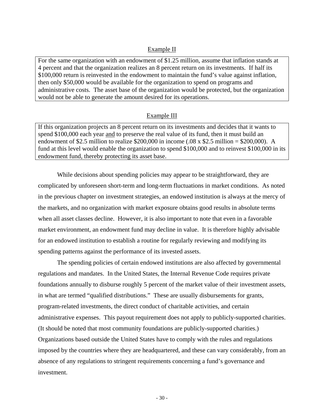#### Example II

For the same organization with an endowment of \$1.25 million, assume that inflation stands at 4 percent and that the organization realizes an 8 percent return on its investments. If half its \$100,000 return is reinvested in the endowment to maintain the fund's value against inflation, then only \$50,000 would be available for the organization to spend on programs and administrative costs. The asset base of the organization would be protected, but the organization would not be able to generate the amount desired for its operations.

#### Example III

If this organization projects an 8 percent return on its investments and decides that it wants to spend \$100,000 each year and to preserve the real value of its fund, then it must build an endowment of \$2.5 million to realize \$200,000 in income (.08 x \$2.5 million = \$200,000). A fund at this level would enable the organization to spend \$100,000 and to reinvest \$100,000 in its endowment fund, thereby protecting its asset base.

 While decisions about spending policies may appear to be straightforward, they are complicated by unforeseen short-term and long-term fluctuations in market conditions. As noted in the previous chapter on investment strategies, an endowed institution is always at the mercy of the markets, and no organization with market exposure obtains good results in absolute terms when all asset classes decline. However, it is also important to note that even in a favorable market environment, an endowment fund may decline in value. It is therefore highly advisable for an endowed institution to establish a routine for regularly reviewing and modifying its spending patterns against the performance of its invested assets.

 The spending policies of certain endowed institutions are also affected by governmental regulations and mandates. In the United States, the Internal Revenue Code requires private foundations annually to disburse roughly 5 percent of the market value of their investment assets, in what are termed "qualified distributions." These are usually disbursements for grants, program-related investments, the direct conduct of charitable activities, and certain administrative expenses. This payout requirement does not apply to publicly-supported charities. (It should be noted that most community foundations are publicly-supported charities.) Organizations based outside the United States have to comply with the rules and regulations imposed by the countries where they are headquartered, and these can vary considerably, from an absence of any regulations to stringent requirements concerning a fund's governance and investment.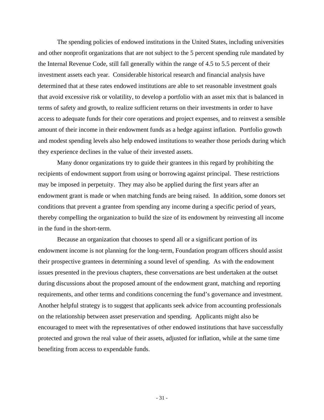The spending policies of endowed institutions in the United States, including universities and other nonprofit organizations that are not subject to the 5 percent spending rule mandated by the Internal Revenue Code, still fall generally within the range of 4.5 to 5.5 percent of their investment assets each year. Considerable historical research and financial analysis have determined that at these rates endowed institutions are able to set reasonable investment goals that avoid excessive risk or volatility, to develop a portfolio with an asset mix that is balanced in terms of safety and growth, to realize sufficient returns on their investments in order to have access to adequate funds for their core operations and project expenses, and to reinvest a sensible amount of their income in their endowment funds as a hedge against inflation. Portfolio growth and modest spending levels also help endowed institutions to weather those periods during which they experience declines in the value of their invested assets.

 Many donor organizations try to guide their grantees in this regard by prohibiting the recipients of endowment support from using or borrowing against principal. These restrictions may be imposed in perpetuity. They may also be applied during the first years after an endowment grant is made or when matching funds are being raised. In addition, some donors set conditions that prevent a grantee from spending any income during a specific period of years, thereby compelling the organization to build the size of its endowment by reinvesting all income in the fund in the short-term.

 Because an organization that chooses to spend all or a significant portion of its endowment income is not planning for the long-term, Foundation program officers should assist their prospective grantees in determining a sound level of spending. As with the endowment issues presented in the previous chapters, these conversations are best undertaken at the outset during discussions about the proposed amount of the endowment grant, matching and reporting requirements, and other terms and conditions concerning the fund's governance and investment. Another helpful strategy is to suggest that applicants seek advice from accounting professionals on the relationship between asset preservation and spending. Applicants might also be encouraged to meet with the representatives of other endowed institutions that have successfully protected and grown the real value of their assets, adjusted for inflation, while at the same time benefiting from access to expendable funds.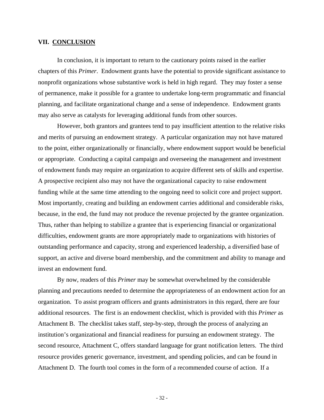#### **VII. CONCLUSION**

 In conclusion, it is important to return to the cautionary points raised in the earlier chapters of this *Primer*. Endowment grants have the potential to provide significant assistance to nonprofit organizations whose substantive work is held in high regard. They may foster a sense of permanence, make it possible for a grantee to undertake long-term programmatic and financial planning, and facilitate organizational change and a sense of independence. Endowment grants may also serve as catalysts for leveraging additional funds from other sources.

 However, both grantors and grantees tend to pay insufficient attention to the relative risks and merits of pursuing an endowment strategy. A particular organization may not have matured to the point, either organizationally or financially, where endowment support would be beneficial or appropriate. Conducting a capital campaign and overseeing the management and investment of endowment funds may require an organization to acquire different sets of skills and expertise. A prospective recipient also may not have the organizational capacity to raise endowment funding while at the same time attending to the ongoing need to solicit core and project support. Most importantly, creating and building an endowment carries additional and considerable risks, because, in the end, the fund may not produce the revenue projected by the grantee organization. Thus, rather than helping to stabilize a grantee that is experiencing financial or organizational difficulties, endowment grants are more appropriately made to organizations with histories of outstanding performance and capacity, strong and experienced leadership, a diversified base of support, an active and diverse board membership, and the commitment and ability to manage and invest an endowment fund.

 By now, readers of this *Primer* may be somewhat overwhelmed by the considerable planning and precautions needed to determine the appropriateness of an endowment action for an organization. To assist program officers and grants administrators in this regard, there are four additional resources. The first is an endowment checklist, which is provided with this *Primer* as Attachment B. The checklist takes staff, step-by-step, through the process of analyzing an institution's organizational and financial readiness for pursuing an endowment strategy. The second resource, Attachment C, offers standard language for grant notification letters. The third resource provides generic governance, investment, and spending policies, and can be found in Attachment D. The fourth tool comes in the form of a recommended course of action. If a

- 32 -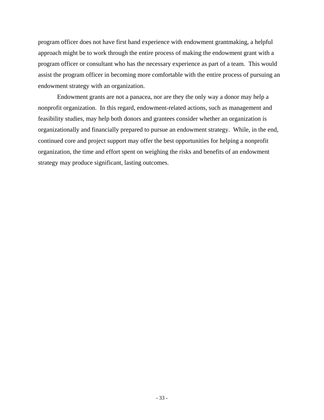program officer does not have first hand experience with endowment grantmaking, a helpful approach might be to work through the entire process of making the endowment grant with a program officer or consultant who has the necessary experience as part of a team. This would assist the program officer in becoming more comfortable with the entire process of pursuing an endowment strategy with an organization.

 Endowment grants are not a panacea, nor are they the only way a donor may help a nonprofit organization. In this regard, endowment-related actions, such as management and feasibility studies, may help both donors and grantees consider whether an organization is organizationally and financially prepared to pursue an endowment strategy. While, in the end, continued core and project support may offer the best opportunities for helping a nonprofit organization, the time and effort spent on weighing the risks and benefits of an endowment strategy may produce significant, lasting outcomes.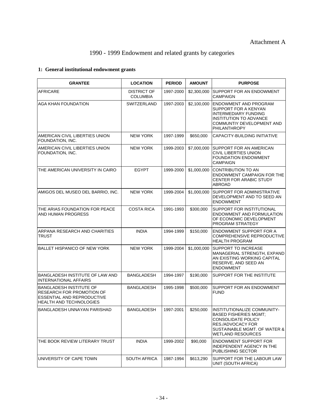# 1990 - 1999 Endowment and related grants by categories

# **1: General institutional endowment grants**

| <b>GRANTEE</b>                                                                                                       | <b>LOCATION</b>                       | <b>PERIOD</b> | <b>AMOUNT</b> | <b>PURPOSE</b>                                                                                                                                                            |
|----------------------------------------------------------------------------------------------------------------------|---------------------------------------|---------------|---------------|---------------------------------------------------------------------------------------------------------------------------------------------------------------------------|
| <b>AFRICARE</b>                                                                                                      | <b>DISTRICT OF</b><br><b>COLUMBIA</b> | 1997-2000     | \$2,300,000   | SUPPORT FOR AN ENDOWMENT<br><b>CAMPAIGN</b>                                                                                                                               |
| <b>AGA KHAN FOUNDATION</b>                                                                                           | SWITZERLAND                           | 1997-2003     | \$2,100,000   | <b>ENDOWMENT AND PROGRAM</b><br>SUPPORT FOR A KENYAN<br><b>INTERMEDIARY FUNDING</b><br><b>INSTITUTION TO ADVANCE</b><br>COMMUNTIY DEVELOPMENT AND<br>PHILANTHROPY         |
| AMERICAN CIVIL LIBERTIES UNION<br>FOUNDATION, INC.                                                                   | <b>NEW YORK</b>                       | 1997-1999     | \$650,000     | CAPACITY-BUILDING INITIATIVE                                                                                                                                              |
| AMERICAN CIVIL LIBERTIES UNION<br>FOUNDATION, INC.                                                                   | <b>NEW YORK</b>                       | 1999-2003     | \$7,000,000   | SUPPORT FOR AN AMERICAN<br><b>CIVIL LIBERTIES UNION</b><br><b>FOUNDATION ENDOWMENT</b><br><b>CAMPAIGN</b>                                                                 |
| THE AMERICAN UNIVERSITY IN CAIRO                                                                                     | <b>EGYPT</b>                          | 1999-2000     | \$1,000,000   | <b>CONTRIBUTION TO AN</b><br><b>ENDOWMENT CAMPAIGN FOR THE</b><br><b>CENTER FOR ARABIC STUDY</b><br>ABROAD                                                                |
| AMIGOS DEL MUSEO DEL BARRIO, INC.                                                                                    | <b>NEW YORK</b>                       | 1999-2004     | \$1,000,000   | <b>SUPPORT FOR ADMINISTRATIVE</b><br>DEVELOPMENT AND TO SEED AN<br><b>ENDOWMENT</b>                                                                                       |
| THE ARIAS FOUNDATION FOR PEACE<br>AND HUMAN PROGRESS                                                                 | <b>COSTA RICA</b>                     | 1991-1993     | \$300,000     | SUPPORT FOR INSTITUTIONAL<br><b>ENDOWMENT AND FORMULATION</b><br>OF ECONOMIC DEVELOPMENT<br>PROGRAM STRATEGY                                                              |
| ARPANA RESEARCH AND CHARITIES<br>TRUST                                                                               | <b>INDIA</b>                          | 1994-1999     | \$150,000     | ENDOWMENT SUPPORT FOR A<br><b>COMPREHENSIVE REPRODUCTIVE</b><br><b>HEALTH PROGRAM</b>                                                                                     |
| <b>BALLET HISPANICO OF NEW YORK</b>                                                                                  | <b>NEW YORK</b>                       | 1999-2004     | \$1,000,000   | <b>SUPPORT TO INCREASE</b><br>MANAGERIAL STRENGTH, EXPAND<br>AN EXISTING WORKING CAPITAL<br>RESERVE, AND SEED AN<br><b>ENDOWMENT</b>                                      |
| BANGLADESH INSTITUTE OF LAW AND<br><b>INTERNATIONAL AFFAIRS</b>                                                      | <b>BANGLADESH</b>                     | 1994-1997     | \$190,000     | SUPPORT FOR THE INSTITUTE                                                                                                                                                 |
| BANGLADESH INSTITUTE OF<br>RESEARCH FOR PROMOTION OF<br>ESSENTIAL AND REPRODUCTIVE<br><b>HEALTH AND TECHNOLOGIES</b> | <b>BANGLADESH</b>                     | 1995-1998     | \$500,000     | SUPPORT FOR AN ENDOWMENT<br><b>FUND</b>                                                                                                                                   |
| BANGLADESH UNNAYAN PARISHAD                                                                                          | <b>BANGLADESH</b>                     | 1997-2001     | \$250,000     | INSTITUTIONALIZE COMMUNITY-<br><b>BASED FISHERIES MGMT;</b><br><b>CONSOLIDATE POLICY</b><br>RES./ADVOCACY FOR<br>SUSTAINABLE MGMT. OF WATER &<br><b>WETLAND RESOURCES</b> |
| THE BOOK REVIEW LITERARY TRUST                                                                                       | <b>INDIA</b>                          | 1999-2002     | \$90,000      | <b>ENDOWMENT SUPPORT FOR</b><br>INDEPENDENT AGENCY IN THE<br>PUBLISHING SECTOR                                                                                            |
| UNIVERSITY OF CAPE TOWN                                                                                              | <b>SOUTH AFRICA</b>                   | 1987-1994     | \$613,290     | SUPPORT FOR THE LABOUR LAW<br>UNIT (SOUTH AFRICA)                                                                                                                         |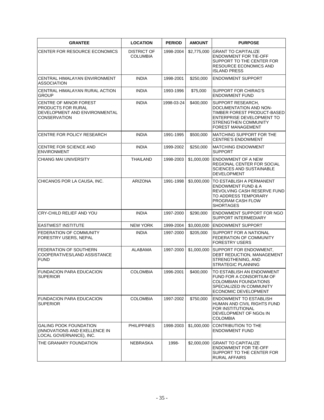| <b>GRANTEE</b>                                                                                       | <b>LOCATION</b>                       | <b>PERIOD</b> | <b>AMOUNT</b> | <b>PURPOSE</b>                                                                                                                                                        |
|------------------------------------------------------------------------------------------------------|---------------------------------------|---------------|---------------|-----------------------------------------------------------------------------------------------------------------------------------------------------------------------|
| CENTER FOR RESOURCE ECONOMICS                                                                        | <b>DISTRICT OF</b><br><b>COLUMBIA</b> | 1998-2004     | \$2,775,000   | <b>GRANT TO CAPITALIZE</b><br><b>ENDOWMENT FOR TIE-OFF</b><br>SUPPORT TO THE CENTER FOR<br><b>RESOURCE ECONOMICS AND</b><br><b>ISLAND PRESS</b>                       |
| CENTRAL HIMALAYAN ENVIRONMENT<br><b>ASSOCIATION</b>                                                  | <b>INDIA</b>                          | 1998-2001     | \$250,000     | <b>ENDOWMENT SUPPORT</b>                                                                                                                                              |
| CENTRAL HIMALAYAN RURAL ACTION<br>GROUP                                                              | <b>INDIA</b>                          | 1993-1996     | \$75,000      | SUPPORT FOR CHIRAG'S<br><b>ENDOWMENT FUND</b>                                                                                                                         |
| CENTRE OF MINOR FOREST<br>PRODUCTS FOR RURAL<br>DEVELOPMENT AND ENVIRONMENTAL<br><b>CONSERVATION</b> | <b>INDIA</b>                          | 1998-03-24    | \$400,000     | SUPPORT RESEARCH,<br>DOCUMENTATION AND NON-<br>TIMBER FOREST PRODUCT-BASED<br>ENTERPRISE DEVELOPMENT TO<br>STRENGTHEN COMMUNITY<br><b>FOREST MANAGEMENT</b>           |
| <b>CENTRE FOR POLICY RESEARCH</b>                                                                    | <b>INDIA</b>                          | 1991-1995     | \$500,000     | <b>MATCHING SUPPORT FOR THE</b><br><b>CENTRE'S ENDOWMENT</b>                                                                                                          |
| CENTRE FOR SCIENCE AND<br><b>ENVIRONMENT</b>                                                         | <b>INDIA</b>                          | 1999-2002     | \$250,000     | <b>MATCHING ENDOWMENT</b><br><b>SUPPORT</b>                                                                                                                           |
| <b>CHIANG MAI UNIVERSITY</b>                                                                         | THAILAND                              | 1998-2003     | \$1,000,000   | ENDOWMENT OF A NEW<br>REGIONAL CENTER FOR SOCIAL<br><b>SCIENCES AND SUSTAINABLE</b><br><b>DEVELOPMENT</b>                                                             |
| CHICANOS POR LA CAUSA, INC.                                                                          | <b>ARIZONA</b>                        | 1991-1998     |               | \$3,000,000 TO ESTABLISH A PERMANENT<br><b>ENDOWMENT FUND &amp; A</b><br>REVOLVING CASH RESERVE FUND<br>TO ADDRESS TEMPORARY<br>PROGRAM CASH FLOW<br><b>SHORTAGES</b> |
| CRY-CHILD RELIEF AND YOU                                                                             | <b>INDIA</b>                          | 1997-2000     | \$290,000     | ENDOWMENT SUPPORT FOR NGO<br>SUPPORT INTERMEDIARY                                                                                                                     |
| <b>EASTWEST INSTITUTE</b>                                                                            | <b>NEW YORK</b>                       | 1999-2004     |               | \$3,000,000 ENDOWMENT SUPPORT                                                                                                                                         |
| FEDERATION OF COMMUNITY<br>FORESTRY USERS, NEPAL                                                     | <b>INDIA</b>                          | 1997-2000     | \$205,000     | SUPPORT FOR A NATIONAL<br>FEDERATION OF COMMUNITY<br><b>FORESTRY USERS</b>                                                                                            |
| FEDERATION OF SOUTHERN<br>COOPERATIVES/LAND ASSISTANCE<br><b>FUND</b>                                | <b>ALABAMA</b>                        | 1997-2000     | \$1,000,000   | SUPPORT FOR ENDOWMENT.<br>DEBT REDUCTION, MANAGEMENT<br>STRENGTHENING, AND<br>STRATEGIC PLANNING                                                                      |
| <b>FUNDACION PARA EDUCACION</b><br>SUPERIOR                                                          | <b>COLOMBIA</b>                       | 1996-2001     | \$400,000     | TO ESTABLISH AN ENDOWMENT<br>FUND FOR A CONSORTIUM OF<br>COLOMBIAN FOUNDATIONS<br>SPECIALIZED IN COMMUNITY<br>ECONOMIC DEVELOPMENT                                    |
| <b>FUNDACION PARA EDUCACION</b><br><b>SUPERIOR</b>                                                   | <b>COLOMBIA</b>                       | 1997-2002     | \$750,000     | <b>ENDOWMENT TO ESTABLISH</b><br><b>HUMAN AND CIVIL RIGHTS FUND</b><br>FOR INSTITUTIONAL<br>DEVELOPMENT OF NGOS IN<br><b>COLOMBIA</b>                                 |
| <b>GALING POOK FOUNDATION</b><br>(INNOVATIONS AND EXELLENCE IN<br>LOCAL GOVERNANCE), INC.            | <b>PHILIPPINES</b>                    | 1998-2003     | \$1,000,000   | <b>CONTRIBUTION TO THE</b><br><b>ENDOWMENT FUND</b>                                                                                                                   |
| THE GRANARY FOUNDATION                                                                               | NEBRASKA                              | 1998-         | \$2,000,000   | <b>GRANT TO CAPITALIZE</b><br><b>ENDOWMENT FOR TIE-OFF</b><br>SUPPORT TO THE CENTER FOR<br><b>RURAL AFFAIRS</b>                                                       |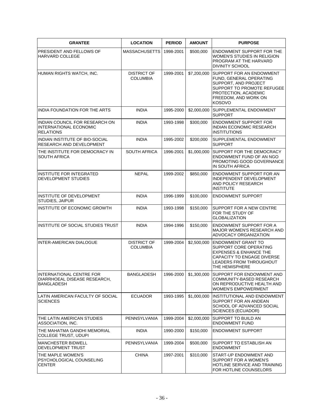| <b>GRANTEE</b>                                                                | <b>LOCATION</b>                       | <b>PERIOD</b> | <b>AMOUNT</b> | <b>PURPOSE</b>                                                                                                                                                                     |
|-------------------------------------------------------------------------------|---------------------------------------|---------------|---------------|------------------------------------------------------------------------------------------------------------------------------------------------------------------------------------|
| PRESIDENT AND FELLOWS OF<br>HARVARD COLLEGE                                   | <b>MASSACHUSETTS</b>                  | 1998-2001     | \$500,000     | ENDOWMENT SUPPORT FOR THE<br>WOMEN'S STUDIES IN RELIGION<br>PROGRAM AT THE HARVARD<br><b>DIVINITY SCHOOL</b>                                                                       |
| HUMAN RIGHTS WATCH, INC.                                                      | <b>DISTRICT OF</b><br><b>COLUMBIA</b> | 1999-2001     | \$7,200,000   | <b>ISUPPORT FOR AN ENDOWMENT</b><br>FUND, GENERAL OPERATING<br>SUPPORT, AND PROJECT<br>SUPPORT TO PROMOTE REFUGEE<br>PROTECTION, ACADEMIC<br>FREEDOM, AND WORK ON<br><b>KOSOVO</b> |
| INDIA FOUNDATION FOR THE ARTS                                                 | <b>INDIA</b>                          | 1995-2000     | \$2,000,000   | <b>SUPPLEMENTAL ENDOWMENT</b><br><b>SUPPORT</b>                                                                                                                                    |
| INDIAN COUNCIL FOR RESEARCH ON<br>INTERNATIONAL ECONOMIC<br><b>RELATIONS</b>  | <b>INDIA</b>                          | 1993-1998     | \$300,000     | <b>ENDOWMENT SUPPORT FOR</b><br>INDIAN ECONOMIC RESEARCH<br><b>INSTITUTIONS</b>                                                                                                    |
| INDIAN INSTITUTE OF BIO-SOCIAL<br>RESEARCH AND DEVELOPMENT                    | <b>INDIA</b>                          | 1995-2002     | \$200,000     | SUPPLEMENTAL ENDOWMENT<br><b>SUPPORT</b>                                                                                                                                           |
| THE INSTITUTE FOR DEMOCRACY IN<br><b>SOUTH AFRICA</b>                         | <b>SOUTH AFRICA</b>                   | 1996-2001     | \$1,000,000   | SUPPORT FOR THE DEMOCRACY<br>ENDOWMENT FUND OF AN NGO<br>PROMOTING GOOD GOVERNANCE<br>IN SOUTH AFRICA                                                                              |
| <b>INSTITUTE FOR INTEGRATED</b><br>DEVELOPMENT STUDIES                        | <b>NEPAL</b>                          | 1999-2002     | \$850,000     | ENDOWMENT SUPPORT FOR AN<br>INDEPENDENT DEVELOPMENT<br>AND POLICY RESEARCH<br><b>INSTITUTE</b>                                                                                     |
| INSTITUTE OF DEVELOPMENT<br>STUDIES, JAIPUR                                   | <b>INDIA</b>                          | 1996-1999     | \$100,000     | <b>ENDOWMENT SUPPORT</b>                                                                                                                                                           |
| INSTITUTE OF ECONOMIC GROWTH                                                  | <b>INDIA</b>                          | 1993-1998     | \$150,000     | SUPPORT FOR A NEW CENTRE<br>FOR THE STUDY OF<br><b>GLOBALIZATION</b>                                                                                                               |
| INSTITUTE OF SOCIAL STUDIES TRUST                                             | <b>INDIA</b>                          | 1994-1996     | \$150,000     | <b>ENDOWMENT SUPPORT FOR A</b><br><b>MAJOR WOMEN'S RESEARCH AND</b><br>ADVOCACY ORGANIZATION                                                                                       |
| INTER-AMERICAN DIALOGUE                                                       | <b>DISTRICT OF</b><br><b>COLUMBIA</b> | 1999-2004     | \$2,500,000   | <b>ENDOWMENT GRANT TO</b><br>SUPPORT CORE OPERATING<br><b>EXPENSES &amp; ENHANCE THE</b><br>CAPACITY TO ENGAGE DIVERSE<br><b>LEADERS FROM THROUGHOUT</b><br>THE HEMISPHERE         |
| INTERNATIONAL CENTRE FOR<br>DIARRHOEAL DISEASE RESEARCH,<br><b>BANGLADESH</b> | <b>BANGLADESH</b>                     | 1996-2000     | \$1,300,000   | SUPPORT FOR ENDOWMENT AND<br>COMMUNITY-BASED RESEARCH<br>ON REPRODUCTIVE HEALTH AND<br>WOMEN'S EMPOWERMENT                                                                         |
| LATIN AMERICAN FACULTY OF SOCIAL<br><b>SCIENCES</b>                           | <b>ECUADOR</b>                        | 1993-1995     | \$1,000,000   | INSTITUTIONAL AND ENDOWMENT<br>SUPPORT FOR AN ANDEAN<br>SCHOOL OF ADVANCED SOCIAL<br><b>SCIENCES (ECUADOR)</b>                                                                     |
| THE LATIN AMERICAN STUDIES<br>ASSOCIATION, INC.                               | PENNSYLVANIA                          | 1999-2004     | \$2,000,000   | SUPPORT TO BUILD AN<br><b>ENDOWMENT FUND</b>                                                                                                                                       |
| THE MAHATMA GANDHI MEMORIAL<br><b>COLLEGE TRUST, UDUPI</b>                    | <b>INDIA</b>                          | 1990-2000     | \$150,000     | <b>ENDOWMENT SUPPORT</b>                                                                                                                                                           |
| <b>MANCHESTER BIDWELL</b><br>DEVELOPMENT TRUST                                | PENNSYLVANIA                          | 1999-2004     | \$500,000     | SUPPORT TO ESTABLISH AN<br><b>ENDOWMENT</b>                                                                                                                                        |
| THE MAPLE WOMEN'S<br>PSYCHOLOGICAL COUNSELING<br><b>CENTER</b>                | <b>CHINA</b>                          | 1997-2001     | \$310,000     | START-UP ENDOWMENT AND<br>SUPPORT FOR A WOMEN'S<br>HOTLINE SERVICE AND TRAINING<br>FOR HOTLINE COUNSELORS                                                                          |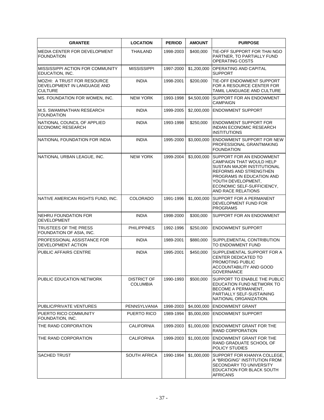| <b>GRANTEE</b>                                                                      | <b>LOCATION</b>                       | <b>PERIOD</b> | <b>AMOUNT</b> | <b>PURPOSE</b>                                                                                                                                                                                                                     |
|-------------------------------------------------------------------------------------|---------------------------------------|---------------|---------------|------------------------------------------------------------------------------------------------------------------------------------------------------------------------------------------------------------------------------------|
| MEDIA CENTER FOR DEVELOPMENT<br><b>FOUNDATION</b>                                   | <b>THAILAND</b>                       | 1998-2003     | \$400,000     | TIE-OFF SUPPORT FOR THAI NGO<br>PARTNER, TO PARTIALLY FUND<br>OPERATING COSTS                                                                                                                                                      |
| MISSISSIPPI ACTION FOR COMMUNITY<br>EDUCATION, INC.                                 | <b>MISSISSIPPI</b>                    | 1997-2000     | \$1,200,000   | OPERATING AND CAPITAL<br><b>SUPPORT</b>                                                                                                                                                                                            |
| <b>MOZHI: A TRUST FOR RESOURCE</b><br>DEVELOPMENT IN LANGUAGE AND<br><b>CULTURE</b> | <b>INDIA</b>                          | 1998-2001     | \$200,000     | TIE-OFF ENDOWMENT SUPPORT<br>FOR A RESOURCE CENTER FOR<br>TAMIL LANGUAGE AND CULTURE                                                                                                                                               |
| MS. FOUNDATION FOR WOMEN, INC.                                                      | <b>NEW YORK</b>                       | 1993-1998     | \$4,500,000   | <b>SUPPORT FOR AN ENDOWMENT</b><br><b>CAMPAIGN</b>                                                                                                                                                                                 |
| <b>M.S. SWAMINATHAN RESEARCH</b><br><b>FOUNDATION</b>                               | <b>INDIA</b>                          | 1999-2005     | \$2,000,000   | <b>ENDOWMENT SUPPORT</b>                                                                                                                                                                                                           |
| NATIONAL COUNCIL OF APPLIED<br><b>ECONOMIC RESEARCH</b>                             | <b>INDIA</b>                          | 1993-1998     | \$250,000     | <b>ENDOWMENT SUPPORT FOR</b><br>INDIAN ECONOMIC RESEARCH<br><b>INSTITUTIONS</b>                                                                                                                                                    |
| NATIONAL FOUNDATION FOR INDIA                                                       | <b>INDIA</b>                          | 1995-2000     | \$3,000,000   | <b>ENDOWMENT SUPPORT FOR NEW</b><br>PROFESSIONAL GRANTMAKING<br><b>FOUNDATION</b>                                                                                                                                                  |
| NATIONAL URBAN LEAGUE, INC.                                                         | <b>NEW YORK</b>                       | 1999-2004     | \$3,000,000   | <b>SUPPORT FOR AN ENDOWMENT</b><br>CAMPAIGN THAT WOULD HELP<br>SUSTAIN MAJOR INSTITUTIONAL<br>REFORMS AND STRENGTHEN<br>PROGRAMS IN EDUCATION AND<br>YOUTH DEVELOPMENT,<br>ECONOMIC SELF-SUFFICIENCY.<br><b>AND RACE RELATIONS</b> |
| NATIVE AMERICAN RIGHTS FUND, INC.                                                   | <b>COLORADO</b>                       | 1991-1996     | \$1,000,000   | SUPPORT FOR A PERMANENT<br>DEVELOPMENT FUND FOR<br><b>PROGRAMS</b>                                                                                                                                                                 |
| NEHRU FOUNDATION FOR<br><b>DEVELOPMENT</b>                                          | <b>INDIA</b>                          | 1998-2000     | \$300,000     | SUPPORT FOR AN ENDOWMENT                                                                                                                                                                                                           |
| TRUSTEES OF THE PRESS<br>FOUNDATION OF ASIA, INC.                                   | <b>PHILIPPINES</b>                    | 1992-1996     | \$250,000     | <b>ENDOWMENT SUPPORT</b>                                                                                                                                                                                                           |
| PROFESSIONAL ASSISTANCE FOR<br>DEVELOPMENT ACTION                                   | <b>INDIA</b>                          | 1989-2001     | \$880,000     | SUPPLEMENTAL CONTRIBUTION<br>TO ENDOWMENT FUND                                                                                                                                                                                     |
| PUBLIC AFFAIRS CENTRE                                                               | <b>INDIA</b>                          | 1995-2001     | \$450,000     | SUPPLEMENTAL SUPPORT FOR A<br>CENTER DEDICATED TO<br>PROMOTING PUBLIC<br>ACCOUNTABILITY AND GOOD<br><b>GOVERNANCE</b>                                                                                                              |
| PUBLIC EDUCATION NETWORK                                                            | <b>DISTRICT OF</b><br><b>COLUMBIA</b> | 1990-1993     | \$500,000     | SUPPORT TO ENABLE THE PUBLIC<br>EDUCATION FUND NETWORK TO<br>BECOME A PERMANENT,<br>PARTIALLY SELF-SUSTAINING<br>NATIONAL ORGANIZATION.                                                                                            |
| PUBLIC/PRIVATE VENTURES                                                             | PENNSYLVANIA                          | 1998-2003     | \$4,000,000   | <b>ENDOWMENT GRANT</b>                                                                                                                                                                                                             |
| PUERTO RICO COMMUNITY<br>FOUNDATION, INC.                                           | PUERTO RICO                           | 1989-1994     | \$5,000,000   | <b>ENDOWMENT SUPPORT</b>                                                                                                                                                                                                           |
| THE RAND CORPORATION                                                                | <b>CALIFORNIA</b>                     | 1999-2003     | \$1,000,000   | <b>ENDOWMENT GRANT FOR THE</b><br>RAND CORPORATION                                                                                                                                                                                 |
| THE RAND CORPORATION                                                                | <b>CALIFORNIA</b>                     | 1999-2003     | \$1,000,000   | <b>ENDOWMENT GRANT FOR THE</b><br>RAND GRADUATE SCHOOL OF<br>POLICY STUDIES                                                                                                                                                        |
| <b>SACHED TRUST</b>                                                                 | <b>SOUTH AFRICA</b>                   | 1990-1994     | \$1,000,000   | SUPPORT FOR KHANYA COLLEGE,<br>A "BRIDGING" INSTITUTION FROM<br>SECONDARY TO UNIVERSITY<br>EDUCATION FOR BLACK SOUTH<br><b>AFRICANS</b>                                                                                            |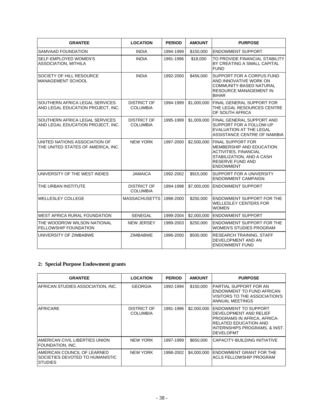| <b>GRANTEE</b>                                                      | <b>LOCATION</b>                       | <b>PERIOD</b> | <b>AMOUNT</b> | <b>PURPOSE</b>                                                                                                                                                        |
|---------------------------------------------------------------------|---------------------------------------|---------------|---------------|-----------------------------------------------------------------------------------------------------------------------------------------------------------------------|
| SAMVAAD FOUNDATION                                                  | <b>INDIA</b>                          | 1994-1999     | \$150,000     | <b>IENDOWMENT SUPPORT</b>                                                                                                                                             |
| SELF-EMPLOYED WOMEN'S<br>ASSOCIATION, MITHILA                       | <b>INDIA</b>                          | 1991-1996     | \$18,000      | TO PROVIDE FINANCIAL STABILITY<br>BY CREATING A SMALL CAPITAL<br><b>FUND</b>                                                                                          |
| SOCIETY OF HILL RESOURCE<br><b>MANAGEMENT SCHOOL</b>                | <b>INDIA</b>                          | 1992-2000     | \$456,000     | SUPPORT FOR A CORPUS FUND<br>AND INNOVATIVE WORK ON<br><b>COMMUNITY-BASED NATURAL</b><br><b>RESOURCE MANAGEMENT IN</b><br><b>BIHAR</b>                                |
| SOUTHERN AFRICA LEGAL SERVICES<br>AND LEGAL EDUCATION PROJECT, INC. | <b>DISTRICT OF</b><br><b>COLUMBIA</b> | 1994-1999     | \$1,000,000   | <b>FINAL GENERAL SUPPORT FOR</b><br>THE LEGAL RESOURCES CENTRE<br>OF SOUTH AFRICA                                                                                     |
| SOUTHERN AFRICA LEGAL SERVICES<br>AND LEGAL EDUCATION PROJECT, INC. | <b>DISTRICT OF</b><br><b>COLUMBIA</b> | 1995-1999     | \$1,009,000   | <b>FINAL GENERAL SUPPORT AND</b><br>SUPPORT FOR A FOLLOW-UP<br><b>EVALUATION AT THE LEGAL</b><br>ASSISTANCE CENTRE OF NAMIBIA                                         |
| UNITED NATIONS ASSOCIATION OF<br>THE UNITED STATES OF AMERICA, INC. | <b>NEW YORK</b>                       | 1997-2000     |               | \$2,500,000 FINAL SUPPORT FOR<br>MEMBERSHIP AND EDUCATION<br><b>ACTIVITIES, FINANCIAL</b><br>STABILIZATION, AND A CASH<br><b>RESERVE FUND AND</b><br><b>ENDOWMENT</b> |
| UNIVERSITY OF THE WEST INDIES                                       | <b>JAMAICA</b>                        | 1992-2002     | \$915,000     | <b>SUPPORT FOR A UNIVERSITY</b><br><b>ENDOWMENT CAMPAIGN</b>                                                                                                          |
| THE URBAN INSTITUTE                                                 | <b>DISTRICT OF</b><br><b>COLUMBIA</b> | 1994-1998     | \$7,000,000   | <b>IENDOWMENT SUPPORT</b>                                                                                                                                             |
| <b>WELLESLEY COLLEGE</b>                                            | <b>MASSACHUSETTS</b>                  | 1998-2000     | \$250,000     | <b>ENDOWMENT SUPPORT FOR THE</b><br><b>WELLESLEY CENTERS FOR</b><br><b>WOMEN</b>                                                                                      |
| <b>WEST AFRICA RURAL FOUNDATION</b>                                 | <b>SENEGAL</b>                        | 1999-2004     | \$2,000,000   | <b>ENDOWMENT SUPPORT</b>                                                                                                                                              |
| THE WOODROW WILSON NATIONAL<br><b>FELLOWSHIP FOUNDATION</b>         | <b>NEW JERSEY</b>                     | 1999-2003     | \$250,000     | <b>ENDOWMENT SUPPORT FOR THE</b><br><b>WOMEN'S STUDIES PROGRAM</b>                                                                                                    |
| UNIVERSITY OF ZIMBABWE                                              | <b>ZIMBABWE</b>                       | 1996-2000     | \$500,000     | RESEARCH TRAINING, STAFF<br>DEVELOPMENT AND AN<br><b>ENDOWMENT FUND</b>                                                                                               |

# **2: Special Purpose Endowment grants**

| <b>GRANTEE</b>                                                                    | <b>LOCATION</b>                | <b>PERIOD</b> | <b>AMOUNT</b> | <b>PURPOSE</b>                                                                                                                                                             |
|-----------------------------------------------------------------------------------|--------------------------------|---------------|---------------|----------------------------------------------------------------------------------------------------------------------------------------------------------------------------|
| AFRICAN STUDIES ASSOCIATION, INC.                                                 | <b>GEORGIA</b>                 | 1992-1994     | \$150,000     | PARTIAL SUPPORT FOR AN<br>ENDOWMENT TO FUND AFRICAN<br>VISITORS TO THE ASSOCIATION'S<br>ANNUAL MEETINGS                                                                    |
| <b>IAFRICARE</b>                                                                  | DISTRICT OF<br><b>COLUMBIA</b> | 1991-1996     | \$2,000,000   | IENDOWMENT TO SUPPORT<br>DEVELOPMENT AND RELIEF<br><b>PROGRAMS IN AFRICA. AFRICA-</b><br><b>RELATED EDUCATION AND</b><br>INTERNSHIPS PROGRAMS, & INST.<br><b>DEVELOPMT</b> |
| AMERICAN CIVIL LIBERTIES UNION<br> FOUNDATION, INC.                               | <b>NEW YORK</b>                | 1997-1999     | \$650,000     | ICAPACITY-BUILDING INITIATIVE                                                                                                                                              |
| AMERICAN COUNCIL OF LEARNED<br>ISOCIETIES DEVOTED TO HUMANISTIC<br><b>STUDIES</b> | <b>NEW YORK</b>                | 1998-2002     | \$4,000,000   | <b>ENDOWMENT GRANT FOR THE</b><br>ACLS FELLOWSHIP PROGRAM                                                                                                                  |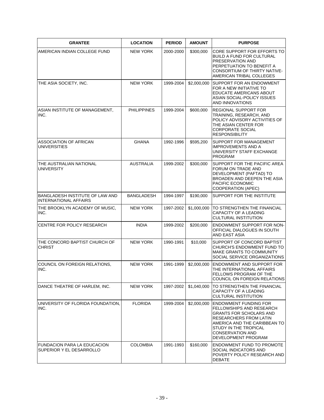| <b>GRANTEE</b>                                                  | <b>LOCATION</b>    | <b>PERIOD</b> | <b>AMOUNT</b> | <b>PURPOSE</b>                                                                                                                                                                                                                         |
|-----------------------------------------------------------------|--------------------|---------------|---------------|----------------------------------------------------------------------------------------------------------------------------------------------------------------------------------------------------------------------------------------|
| AMERICAN INDIAN COLLEGE FUND                                    | <b>NEW YORK</b>    | 2000-2000     | \$300,000     | CORE SUPPORT FOR EFFORTS TO<br><b>BUILD A FUND FOR CULTURAL</b><br>PRESERVATION AND<br>PERPETUATION TO BENEFIT A<br>CONSORTIUM OF THIRTY NATIVE-<br>AMERICAN TRIBAL COLLEGES                                                           |
| THE ASIA SOCIETY, INC.                                          | <b>NEW YORK</b>    | 1999-2004     | \$2,000,000   | SUPPORT FOR AN ENDOWMENT<br>FOR A NEW INITIATIVE TO<br>EDUCATE AMERICANS ABOUT<br>ASIAN SOCIAL-POLICY ISSUES<br>AND INNOVATIONS                                                                                                        |
| ASIAN INSTITUTE OF MANAGEMENT,<br>INC.                          | <b>PHILIPPINES</b> | 1999-2004     | \$600,000     | <b>REGIONAL SUPPORT FOR</b><br>TRAINING, RESEARCH, AND<br>POLICY ADVISORY ACTIVITIES OF<br>THE ASIAN CENTER FOR<br><b>CORPORATE SOCIAL</b><br><b>RESPONSIBILITY</b>                                                                    |
| <b>ASSOCIATION OF AFRICAN</b><br><b>UNIVERSITIES</b>            | <b>GHANA</b>       | 1992-1996     | \$595,200     | SUPPORT FOR MANAGEMENT<br><b>IMPROVEMENTS AND A</b><br>UNIVERSITY STAFF EXCHANGE<br><b>PROGRAM</b>                                                                                                                                     |
| THE AUSTRALIAN NATIONAL<br><b>UNIVERSITY</b>                    | <b>AUSTRALIA</b>   | 1999-2002     | \$300,000     | SUPPORT FOR THE PACIFIC AREA<br>FORUM ON TRADE AND<br>DEVELOPMENT (PAFTAD) TO<br>BROADEN AND DEEPEN THE ASIA<br>PACIFIC ECONOMIC<br><b>COOPERATION (APEC)</b>                                                                          |
| BANGLADESH INSTITUTE OF LAW AND<br><b>INTERNATIONAL AFFAIRS</b> | <b>BANGLADESH</b>  | 1994-1997     | \$190,000     | SUPPORT FOR THE INSTITUTE                                                                                                                                                                                                              |
| THE BROOKLYN ACADEMY OF MUSIC,<br>INC.                          | <b>NEW YORK</b>    | 1997-2002     | \$1,000,000   | TO STRENGTHEN THE FINANCIAL<br><b>CAPACITY OF A LEADING</b><br><b>CULTURAL INSTITUTION</b>                                                                                                                                             |
| CENTRE FOR POLICY RESEARCH                                      | <b>INDIA</b>       | 1999-2002     | \$200,000     | ENDOWMENT SUPPORT FOR NON-<br>OFFICIAL DIALOGUES IN SOUTH<br>AND EAST ASIA                                                                                                                                                             |
| THE CONCORD BAPTIST CHURCH OF<br><b>CHRIST</b>                  | <b>NEW YORK</b>    | 1990-1991     | \$10,000      | SUPPORT OF CONCORD BAPTIST<br>CHURCH'S ENDOWMENT FUND TO<br>MAKE GRANTS TO COMMUNITY<br>SOCIAL SERVICE ORGANIZATIONS                                                                                                                   |
| COUNCIL ON FOREIGN RELATIONS,<br>INC.                           | <b>NEW YORK</b>    | 1991-1999     | \$2,000,000   | <b>ENDOWMENT AND SUPPORT FOR</b><br>THE INTERNATIONAL AFFAIRS<br><b>FELLOWS PROGRAM OF THE</b><br>COUNCIL ON FOREIGN RELATIONS                                                                                                         |
| DANCE THEATRE OF HARLEM, INC.                                   | <b>NEW YORK</b>    | 1997-2002     | \$1,040,000   | TO STRENGTHEN THE FINANCIAL<br>CAPACITY OF A LEADING<br>CULTURAL INSTITUTION                                                                                                                                                           |
| UNIVERSITY OF FLORIDA FOUNDATION.<br>INC.                       | <b>FLORIDA</b>     | 1999-2004     | \$2,000,000   | <b>ENDOWMENT FUNDING FOR</b><br>FELLOWSHIPS AND RESEARCH<br><b>GRANTS FOR SCHOLARS AND</b><br><b>RESEARCHERS FROM LATIN</b><br>AMERICA AND THE CARIBBEAN TO<br>STUDY IN THE TROPICAL<br><b>CONSERVATION AND</b><br>DEVELOPMENT PROGRAM |
| <b>FUNDACION PARA LA EDUCACION</b><br>SUPERIOR Y EL DESARROLLO  | <b>COLOMBIA</b>    | 1991-1993     | \$160,000     | <b>ENDOWMENT FUND TO PROMOTE</b><br>SOCIAL INDICATORS AND<br>POVERTY POLICY RESEARCH AND<br>DEBATE                                                                                                                                     |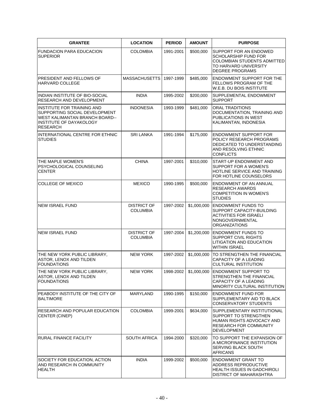| <b>GRANTEE</b>                                                                                                                                     | <b>LOCATION</b>                       | <b>PERIOD</b> | <b>AMOUNT</b> | <b>PURPOSE</b>                                                                                                                           |
|----------------------------------------------------------------------------------------------------------------------------------------------------|---------------------------------------|---------------|---------------|------------------------------------------------------------------------------------------------------------------------------------------|
| <b>FUNDACION PARA EDUCACION</b><br><b>SUPERIOR</b>                                                                                                 | <b>COLOMBIA</b>                       | 1991-2001     | \$500,000     | SUPPORT FOR AN ENDOWED<br>SCHOLARSHIP FUND FOR<br><b>COLOMBIAN STUDENTS ADMITTED</b><br>TO HARVARD UNIVERSITY<br><b>DEGREE PROGRAMS</b>  |
| PRESIDENT AND FELLOWS OF<br>HARVARD COLLEGE                                                                                                        | <b>MASSACHUSETTS</b>                  | 1997-1999     | \$485,000     | <b>ENDOWMENT SUPPORT FOR THE</b><br>FELLOWS PROGRAM OF THE<br>W.E.B. DU BOIS INSTITUTE                                                   |
| INDIAN INSTITUTE OF BIO-SOCIAL<br>RESEARCH AND DEVELOPMENT                                                                                         | <b>INDIA</b>                          | 1995-2002     | \$200,000     | SUPPLEMENTAL ENDOWMENT<br><b>SUPPORT</b>                                                                                                 |
| INSTITUTE FOR TRAINING AND<br>SUPPORTING SOCIAL DEVELOPMENT<br>WEST KALIMANTAN BRANCH BOARD--<br><b>INSTITUTE OF DAYAKOLOGY</b><br><b>RESEARCH</b> | <b>INDONESIA</b>                      | 1993-1999     | \$481,000     | ORAL TRADITIONS<br>DOCUMENTATION, TRAINING AND<br>PUBLICATIONS IN WEST<br>KALIMANTAN, INDONESIA                                          |
| INTERNATIONAL CENTRE FOR ETHNIC<br><b>STUDIES</b>                                                                                                  | <b>SRI LANKA</b>                      | 1991-1994     | \$175,000     | <b>ENDOWMENT SUPPORT FOR</b><br>POLICY RESEARCH PROGRAMS<br>DEDICATED TO UNDERSTANDING<br>AND RESOLVING ETHNIC<br><b>CONFLICTS</b>       |
| THE MAPLE WOMEN'S<br>PSYCHOLOGICAL COUNSELING<br><b>CENTER</b>                                                                                     | <b>CHINA</b>                          | 1997-2001     | \$310,000     | START-UP ENDOWMENT AND<br><b>SUPPORT FOR A WOMEN'S</b><br>HOTLINE SERVICE AND TRAINING<br>FOR HOTLINE COUNSELORS                         |
| COLLEGE OF MEXICO                                                                                                                                  | <b>MEXICO</b>                         | 1990-1995     | \$500,000     | <b>ENDOWMENT OF AN ANNUAL</b><br><b>RESEARCH AWARDS</b><br><b>COMPETITION IN WOMEN'S</b><br><b>STUDIES</b>                               |
| <b>NEW ISRAEL FUND</b>                                                                                                                             | <b>DISTRICT OF</b><br><b>COLUMBIA</b> | 1997-2002     | \$1,000,000   | <b>ENDOWMENT FUNDS TO</b><br>SUPPORT CAPACITY-BUILDING<br><b>ACTIVITIES FOR ISRAELI</b><br>NONGOVERNMENTAL<br><b>ORGANIZATIONS</b>       |
| <b>NEW ISRAEL FUND</b>                                                                                                                             | <b>DISTRICT OF</b><br><b>COLUMBIA</b> | 1997-2004     | \$1,200,000   | <b>ENDOWMENT FUNDS TO</b><br><b>SUPPORT CIVIL RIGHTS</b><br>LITIGATION AND EDUCATION<br><b>WITHIN ISRAEL</b>                             |
| THE NEW YORK PUBLIC LIBRARY,<br>ASTOR, LENOX AND TILDEN<br><b>FOUNDATIONS</b>                                                                      | <b>NEW YORK</b>                       | 1997-2002     | \$1,000,000   | TO STRENGTHEN THE FINANCIAL<br><b>CAPACITY OF A LEADING</b><br>CULTURAL INSTITUTION                                                      |
| THE NEW YORK PUBLIC LIBRARY,<br>ASTOR, LENOX AND TILDEN<br><b>FOUNDATIONS</b>                                                                      | <b>NEW YORK</b>                       | 1998-2002     | \$1,000,000   | <b>ENDOWMENT SUPPORT TO</b><br>STRENGTHEN THE FINANCIAL<br><b>CAPACITY OF A LEADING</b><br>MINORITY CULTURAL INSTITUTION                 |
| PEABODY INSTITUTE OF THE CITY OF<br><b>BALTIMORE</b>                                                                                               | MARYLAND                              | 1990-1995     | \$150,000     | <b>ENDOWMENT FUND FOR</b><br>SUPPLEMENTARY AID TO BLACK<br><b>CONSERVATORY STUDENTS</b>                                                  |
| RESEARCH AND POPULAR EDUCATION<br><b>CENTER (CINEP)</b>                                                                                            | <b>COLOMBIA</b>                       | 1999-2001     | \$634,000     | SUPPLEMENTARY INSTITUTIONAL<br>SUPPORT TO STRENGTHEN<br>HUMAN RIGHTS ADVOCACY AND<br><b>RESEARCH FOR COMMUNITY</b><br><b>DEVELOPMENT</b> |
| RURAL FINANCE FACILITY                                                                                                                             | <b>SOUTH AFRICA</b>                   | 1994-2000     | \$320,000     | TO SUPPORT THE EXPANSION OF<br>A MICROFINANCE INSTITUTION<br>SERVING BLACK SOUTH<br><b>AFRICANS</b>                                      |
| SOCIETY FOR EDUCATION, ACTION<br>AND RESEARCH IN COMMUNITY<br><b>HEALTH</b>                                                                        | <b>INDIA</b>                          | 1999-2002     | \$500,000     | <b>ENDOWMENT GRANT TO</b><br>ADDRESS REPRODUCTIVE<br><b>HEALTH ISSUES IN GADCHIROLI</b><br>DISTRICT OF MAHARASHTRA                       |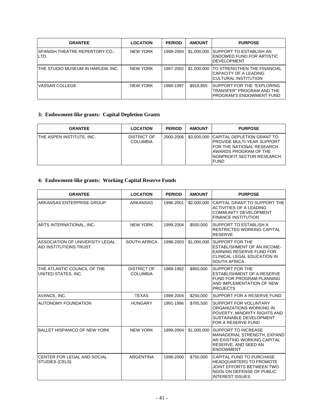| <b>GRANTEE</b>                                  | <b>LOCATION</b> | <b>PERIOD</b> | <b>AMOUNT</b> | <b>PURPOSE</b>                                                                              |
|-------------------------------------------------|-----------------|---------------|---------------|---------------------------------------------------------------------------------------------|
| <b>ISPANISH THEATRE REPERTORY CO.,</b><br>ILTD. | <b>NEW YORK</b> | 1999-2004     | \$1,000,000   | ISUPPORT TO ESTABLISH AN<br>ENDOWED FUND FOR ARTISTIC<br><b>IDEVELOPMENT</b>                |
| THE STUDIO MUSEUM IN HARLEM, INC.               | <b>NEW YORK</b> | 1997-2002     | \$1,000,000   | ITO STRENGTHEN THE FINANCIAL<br>CAPACITY OF A LEADING<br>ICULTURAL INSTITUTION              |
| VASSAR COLLEGE                                  | <b>NEW YORK</b> | 1988-1997     | \$918.855     | ISUPPORT FOR THE "EXPLORING<br>TRANSFER" PROGRAM AND THE<br><b>PROGRAM'S ENDOWMENT FUND</b> |

# **3: Endowment-like grants: Capital Depletion Grants**

| <b>GRANTEE</b>            | <b>LOCATION</b>                | <b>PERIOD</b> | <b>AMOUNT</b> | <b>PURPOSE</b>                                                                                                                                                                    |
|---------------------------|--------------------------------|---------------|---------------|-----------------------------------------------------------------------------------------------------------------------------------------------------------------------------------|
| THE ASPEN INSTITUTE. INC. | DISTRICT OF<br><b>COLUMBIA</b> | 2000-2006     |               | \$3,500,000 CAPITAL DEPLETION GRANT TO<br>IPROVIDE MULTI-YEAR SUPPORT<br><b>IFOR THE NATIONAL RESEARCH</b><br>IAWARDS PROGRAM OF THE<br>INONPROFIT SECTOR RESEARCH<br><b>FUND</b> |

# **4: Endowment-like grants: Working Capital Reserve Funds**

| <b>GRANTEE</b>                                            | <b>LOCATION</b>                       | <b>PERIOD</b> | <b>AMOUNT</b> | <b>PURPOSE</b>                                                                                                                                        |
|-----------------------------------------------------------|---------------------------------------|---------------|---------------|-------------------------------------------------------------------------------------------------------------------------------------------------------|
| ARKANSAS ENTERPRISE GROUP                                 | <b>ARKANSAS</b>                       | 1996-2001     | \$2,000,000   | CAPITAL GRANT TO SUPPORT THE<br><b>ACTIVITIES OF A LEADING</b><br><b>COMMUNITY DEVELOPMENT</b><br><b>FINANCE INSTITUTION</b>                          |
| ARTS INTERNATIONAL, INC.                                  | <b>NEW YORK</b>                       | 1999-2004     | \$500,000     | <b>SUPPORT TO ESTABLISH A</b><br><b>RESTRICTED WORKING CAPITAL</b><br><b>RESERVE</b>                                                                  |
| ASSOCIATION OF UNIVERSITY LEGAL<br>AID INSTITUTIONS TRUST | <b>SOUTH AFRICA</b>                   | 1998-2003     | \$1,000,000   | <b>SUPPORT FOR THE</b><br><b>ESTABLISHMENT OF AN INCOME-</b><br>EARNING RESERVE FUND FOR<br><b>CLINICAL LEGAL EDUCATION IN</b><br><b>SOUTH AFRICA</b> |
| THE ATLANTIC COUNCIL OF THE<br>UNITED STATES, INC.        | <b>DISTRICT OF</b><br><b>COLUMBIA</b> | 1989-1992     | \$950,000     | <b>SUPPORT FOR THE</b><br>ESTABLISHMENT OF A RESERVE<br>FUND FOR PROGRAM PLANNING<br>AND IMPLEMENTATION OF NEW<br><b>PROJECTS</b>                     |
| AVANCE, INC.                                              | <b>TEXAS</b>                          | 1999-2004     | \$250,000     | <b>SUPPORT FOR A RESERVE FUND</b>                                                                                                                     |
| <b>AUTONOMY FOUNDATION</b>                                | <b>HUNGARY</b>                        | 1991-1996     | \$765,500     | <b>SUPPORT FOR VOLUNTARY</b><br>ORGANIZATIONS WORKING IN<br>POVERTY, MINORITY RIGHTS AND<br>SUSTAINABLE DEVELOPMENT<br>FOR A RESERVE FUND             |
| <b>BALLET HISPANICO OF NEW YORK</b>                       | <b>NEW YORK</b>                       | 1999-2004     | \$1,000,000   | <b>SUPPORT TO INCREASE</b><br>MANAGERIAL STRENGTH, EXPAND<br>AN EXISTING WORKING CAPITAL<br>RESERVE, AND SEED AN<br><b>ENDOWMENT</b>                  |
| CENTER FOR LEGAL AND SOCIAL<br><b>STUDIES (CELS)</b>      | <b>ARGENTINA</b>                      | 1998-2000     | \$750,000     | CAPITAL FUND TO PURCHASE<br><b>HEADQUARTERS TO PROMOTE</b><br>JOINT EFFORTS BETWEEN TWO<br>NGOS ON DEFENSE OF PUBLIC<br><b>INTEREST ISSUES</b>        |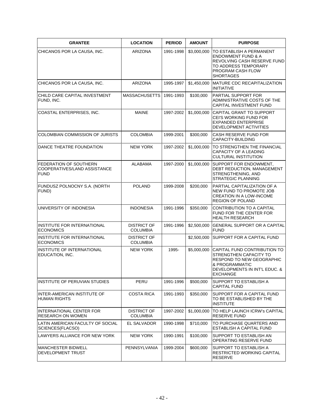| <b>GRANTEE</b>                                                        | <b>LOCATION</b>                       | <b>PERIOD</b> | <b>AMOUNT</b> | <b>PURPOSE</b>                                                                                                                                                   |
|-----------------------------------------------------------------------|---------------------------------------|---------------|---------------|------------------------------------------------------------------------------------------------------------------------------------------------------------------|
| CHICANOS POR LA CAUSA, INC.                                           | ARIZONA                               | 1991-1998     | \$3,000,000   | TO ESTABLISH A PERMANENT<br><b>ENDOWMENT FUND &amp; A</b><br>REVOLVING CASH RESERVE FUND<br>TO ADDRESS TEMPORARY<br>PROGRAM CASH FLOW<br><b>SHORTAGES</b>        |
| CHICANOS POR LA CAUSA, INC.                                           | <b>ARIZONA</b>                        | 1995-1997     | \$1,450,000   | MATURE CDC RECAPITALIZATION<br><b>INITIATIVE</b>                                                                                                                 |
| CHILD CARE CAPITAL INVESTMENT<br>FUND, INC.                           | <b>MASSACHUSETTS</b>                  | 1991-1993     | \$100,000     | PARTIAL SUPPORT FOR<br>ADMINISTRATIVE COSTS OF THE<br>CAPITAL INVESTMENT FUND                                                                                    |
| COASTAL ENTERPRISES, INC.                                             | <b>MAINE</b>                          | 1997-2002     | \$1,000,000   | CAPITAL GRANT TO SUPPORT<br>CEI'S WORKING FUND FOR<br><b>EXPANDED ENTERPRISE</b><br>DEVELOPMENT ACTIVITIES                                                       |
| <b>COLOMBIAN COMMISSION OF JURISTS</b>                                | <b>COLOMBIA</b>                       | 1999-2001     | \$300,000     | CASH RESERVE FUND FOR<br>CAPACITY-BUILDING                                                                                                                       |
| DANCE THEATRE FOUNDATION                                              | <b>NEW YORK</b>                       | 1997-2002     | \$1,000,000   | TO STRENGTHEN THE FINANCIAL<br><b>CAPACITY OF A LEADING</b><br><b>CULTURAL INSTITUTION</b>                                                                       |
| FEDERATION OF SOUTHERN<br>COOPERATIVES/LAND ASSISTANCE<br><b>FUND</b> | ALABAMA                               | 1997-2000     | \$1,000,000   | SUPPORT FOR ENDOWMENT,<br>DEBT REDUCTION, MANAGEMENT<br>STRENGTHENING, AND<br><b>STRATEGIC PLANNING</b>                                                          |
| FUNDUSZ POLNOCNY S.A. (NORTH<br>FUND)                                 | <b>POLAND</b>                         | 1999-2008     | \$200,000     | PARTIAL CAPITALIZATION OF A<br>NEW FUND TO PROMOTE JOB<br><b>CREATION IN A LOW-INCOME</b><br><b>REGION OF POLAND</b>                                             |
| UNIVERSITY OF INDONESIA                                               | <b>INDONESIA</b>                      | 1991-1996     | \$350,000     | CONTRIBUTION TO A CAPITAL<br>FUND FOR THE CENTER FOR<br><b>HEALTH RESEARCH</b>                                                                                   |
| INSTITUTE FOR INTERNATIONAL<br><b>ECONOMICS</b>                       | <b>DISTRICT OF</b><br><b>COLUMBIA</b> | 1991-1996     | \$2,500,000   | <b>GENERAL SUPPORT OR A CAPITAL</b><br><b>FUND</b>                                                                                                               |
| INSTITUTE FOR INTERNATIONAL<br><b>ECONOMICS</b>                       | <b>DISTRICT OF</b><br><b>COLUMBIA</b> |               | \$2,500,000   | <b>ISUPPORT FOR A CAPITAL FUND</b>                                                                                                                               |
| INSTITUTE OF INTERNATIONAL<br>EDUCATION, INC.                         | <b>NEW YORK</b>                       | 1995-         | \$5,000,000   | CAPITAL FUND CONTRIBUTION TO<br>STRENGTHEN CAPACITY TO<br><b>RESPOND TO NEW GEOGRAPHIC</b><br>& PROGRAMMATIC<br>DEVELOPMENTS IN INT'L EDUC. &<br><b>EXCHANGE</b> |
| INSTITUTE OF PERUVIAN STUDIES                                         | PERU                                  | 1991-1996     | \$500,000     | SUPPORT TO ESTABLISH A<br><b>CAPITAL FUND</b>                                                                                                                    |
| INTER-AMERICAN INSTITUTE OF<br><b>HUMAN RIGHTS</b>                    | <b>COSTA RICA</b>                     | 1991-1993     | \$350,000     | SUPPORT FOR A CAPITAL FUND<br>TO BE ESTABLISHED BY THE<br><b>INSTITUTE</b>                                                                                       |
| INTERNATIONAL CENTER FOR<br><b>RESEARCH ON WOMEN</b>                  | <b>DISTRICT OF</b><br><b>COLUMBIA</b> | 1997-2002     | \$1,000,000   | TO HELP LAUNCH ICRW'S CAPITAL<br><b>RESERVE FUND</b>                                                                                                             |
| LATIN AMERICAN FACULTY OF SOCIAL<br>SCIENCES(FLACSO)                  | EL SALVADOR                           | 1990-1998     | \$710,000     | TO PURCHASE QUARTERS AND<br>ESTABLISH A CAPITAL FUND                                                                                                             |
| LAWYERS ALLIANCE FOR NEW YORK                                         | NEW YORK                              | 1990-1991     | \$100,000     | SUPPORT TO ESTABLISH AN<br>OPERATING RESERVE FUND                                                                                                                |
| <b>MANCHESTER BIDWELL</b><br>DEVELOPMENT TRUST                        | PENNSYLVANIA                          | 1999-2004     | \$600,000     | SUPPORT TO ESTABLISH A<br>RESTRICTED WORKING CAPITAL<br><b>RESERVE</b>                                                                                           |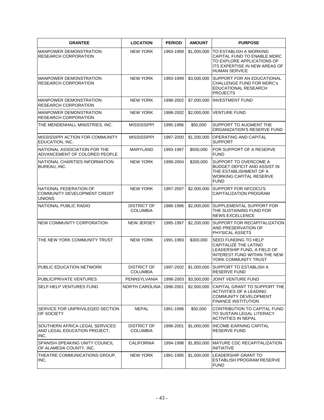| <b>GRANTEE</b>                                                          | <b>LOCATION</b>                       | <b>PERIOD</b> | <b>AMOUNT</b> | <b>PURPOSE</b>                                                                                                                               |
|-------------------------------------------------------------------------|---------------------------------------|---------------|---------------|----------------------------------------------------------------------------------------------------------------------------------------------|
| <b>MANPOWER DEMONSTRATION</b><br><b>RESEARCH CORPORATION</b>            | <b>NEW YORK</b>                       | 1993-1999     | \$1,000,000   | TO ESTABLISH A WORKING<br>CAPITAL FUND TO ENABLE MDRC<br>TO EXPLORE APPLICATIONS OF<br>ITS EXPERTISE IN NEW AREAS OF<br><b>HUMAN SERVICE</b> |
| <b>MANPOWER DEMONSTRATION</b><br><b>RESEARCH CORPORATION</b>            | <b>NEW YORK</b>                       | 1993-1999     | \$3,500,000   | <b>SUPPORT FOR AN EDUCATIONAL</b><br><b>CHALLENGE FUND FOR MDRC's</b><br>EDUCATIONAL RESEARCH<br><b>PROJECTS</b>                             |
| MANPOWER DEMONSTRATION<br><b>RESEARCH CORPORATION</b>                   | <b>NEW YORK</b>                       | 1998-2002     | \$7,000,000   | <b>INVESTMENT FUND</b>                                                                                                                       |
| <b>MANPOWER DEMONSTRATION</b><br><b>RESEARCH CORPORATION</b>            | <b>NEW YORK</b>                       | 1998-2002     | \$2,000,000   | VENTURE FUND                                                                                                                                 |
| THE MENDENHALL MINISTRIES, INC.                                         | <b>MISSISSIPPI</b>                    | 1995-1996     | \$50,000      | SUPPORT TO AUGMENT THE<br>ORGANIZATION'S RESERVE FUND                                                                                        |
| MISSISSIPPI ACTION FOR COMMUNITY<br>EDUCATION, INC.                     | <b>MISSISSIPPI</b>                    | 1997-2000     | \$1,200,000   | <b>OPERATING AND CAPITAL</b><br><b>SUPPORT</b>                                                                                               |
| NATIONAL ASSOCIATION FOR THE<br>ADVANCEMENT OF COLORED PEOPLE           | <b>MARYLAND</b>                       | 1993-1997     | \$500,000     | FOR SUPPORT OF A RESERVE<br><b>FUND</b>                                                                                                      |
| NATIONAL CHARITIES INFORMATION<br>BUREAU, INC.                          | <b>NEW YORK</b>                       | 1999-2004     | \$200,000     | SUPPORT TO OVERCOME A<br><b>BUDGET DEFICIT AND ASSIST IN</b><br>THE ESTABLISHMENT OF A<br><b>WORKING CAPITAL RESERVE</b><br><b>FUND</b>      |
| NATIONAL FEDERATION OF<br>COMMUNITY DEVELOPMENT CREDIT<br><b>UNIONS</b> | <b>NEW YORK</b>                       | 1997-2007     | \$2,000,000   | <b>SUPPORT FOR NFCDCU'S</b><br>CAPITALIZATION PROGRAM                                                                                        |
| NATIONAL PUBLIC RADIO                                                   | <b>DISTRICT OF</b><br><b>COLUMBIA</b> | 1986-1996     | \$2,000,000   | SUPPLEMENTAL SUPPORT FOR<br>THE SUSTAINING FUND FOR<br><b>NEWS EXCELLENCE</b>                                                                |
| NEW COMMUNITY CORPORATION                                               | <b>NEW JERSEY</b>                     | 1995-1997     | \$2,200,000   | SUPPORT FOR RECAPITALIZATION<br>AND PRESERVATION OF<br><b>PHYSICAL ASSETS</b>                                                                |
| THE NEW YORK COMMUNITY TRUST                                            | <b>NEW YORK</b>                       | 1991-1993     | \$300,000     | SEED FUNDING TO HELP<br><b>CAPITALIZE THE LATINO</b><br>LEADERSHIP FUND, A FIELD OF<br>INTEREST FUND WITHIN THE NEW<br>YORK COMMUNITY TRUST  |
| PUBLIC EDUCATION NETWORK                                                | <b>DISTRICT OF</b><br><b>COLUMBIA</b> | 1997-2002     | \$1,000,000   | SUPPORT TO ESTABLISH A<br><b>RESERVE FUND</b>                                                                                                |
| PUBLIC/PRIVATE VENTURES                                                 | <b>PENNSYLVANIA</b>                   | 1998-2003     | \$3,500,000   | JOINT VENTURE FUND                                                                                                                           |
| SELF-HELP VENTURES FUND                                                 | NORTH CAROLINA                        | 1996-2001     | \$2,000,000   | CAPITAL GRANT TO SUPPORT THE<br><b>ACTIVITIES OF A LEADING</b><br><b>COMMUNITY DEVELOPMENT</b><br><b>FINANCE INSTITUTION</b>                 |
| SERVICE FOR UNPRIVILEGED SECTION<br>OF SOCIETY                          | <b>NEPAL</b>                          | 1991-1996     | \$50,000      | CONTRIBUTION TO CAPITAL FUND<br>TO SUSTAIN LEGAL LITERACY<br><b>ACTIVITIES IN NEPAL</b>                                                      |
| SOUTHERN AFRICA LEGAL SERVICES<br>AND LEGAL EDUCATION PROJECT,<br>INC.  | <b>DISTRICT OF</b><br><b>COLUMBIA</b> | 1996-2001     | \$1,000,000   | <b>INCOME-EARNING CAPITAL</b><br>RESERVE FUND                                                                                                |
| SPANISH-SPEAKING UNITY COUNCIL<br>OF ALAMEDA COUNTY, INC.               | <b>CALIFORNIA</b>                     | 1994-1998     | \$1,850,000   | MATURE CDC RECAPITALIZATION<br><b>INITIATIVE</b>                                                                                             |
| THEATRE COMMUNICATIONS GROUP,<br>INC.                                   | <b>NEW YORK</b>                       | 1991-1995     | \$1,000,000   | LEADERSHIP GRANT TO<br>ESTABLISH PROGRAM RESERVE<br><b>FUND</b>                                                                              |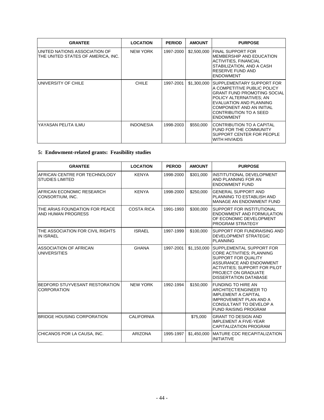| <b>GRANTEE</b>                                                      | <b>LOCATION</b>  | <b>PERIOD</b> | <b>AMOUNT</b> | <b>PURPOSE</b>                                                                                                                                                                                                                         |
|---------------------------------------------------------------------|------------------|---------------|---------------|----------------------------------------------------------------------------------------------------------------------------------------------------------------------------------------------------------------------------------------|
| UNITED NATIONS ASSOCIATION OF<br>THE UNITED STATES OF AMERICA, INC. | <b>NEW YORK</b>  | 1997-2000     | \$2,500,000   | FINAL SUPPORT FOR<br>IMEMBERSHIP AND EDUCATION<br><b>ACTIVITIES, FINANCIAL</b><br>STABILIZATION, AND A CASH<br>RESERVE FUND AND<br><b>ENDOWMENT</b>                                                                                    |
| UNIVERSITY OF CHILE                                                 | <b>CHILE</b>     | 1997-2001     | \$1,300,000   | ISUPPLEMENTARY SUPPORT FOR<br>A COMPETITIVE PUBLIC POLICY<br><b>GRANT FUND PROMOTING SOCIAL</b><br>POLICY ALTERNATIVES; AN<br>EVALUATION AND PLANNING<br><b>COMPONENT AND AN INITIAL</b><br>CONTRIBUTION TO A SEED<br><b>ENDOWMENT</b> |
| YAYASAN PELITA ILMU                                                 | <b>INDONESIA</b> | 1998-2003     | \$550,000     | <b>CONTRIBUTION TO A CAPITAL</b><br>FUND FOR THE COMMUNITY<br>SUPPORT CENTER FOR PEOPLE<br>WITH HIV/AIDS                                                                                                                               |

# **5: Endowment-related grants: Feasibility studies**

| <b>GRANTEE</b>                                          | <b>LOCATION</b>   | <b>PEROD</b> | <b>AMOUNT</b> | <b>PURPOSE</b>                                                                                                                                                                                                 |
|---------------------------------------------------------|-------------------|--------------|---------------|----------------------------------------------------------------------------------------------------------------------------------------------------------------------------------------------------------------|
| AFRICAN CENTRE FOR TECHNOLOGY<br><b>STUDIES LIMITED</b> | <b>KENYA</b>      | 1998-2000    | \$301,000     | INSTITUTIONAL DEVELOPMENT<br>AND PLANNING FOR AN<br><b>ENDOWMENT FUND</b>                                                                                                                                      |
| AFRICAN ECONOMIC RESEARCH<br>CONSORTIUM, INC.           | <b>KENYA</b>      | 1998-2000    | \$250,000     | <b>GENERAL SUPPORT AND</b><br>PLANNING TO ESTABLISH AND<br>MANAGE AN ENDOWMENT FUND                                                                                                                            |
| THE ARIAS FOUNDATION FOR PEACE<br>AND HUMAN PROGRESS    | <b>COSTA RICA</b> | 1991-1993    | \$300,000     | SUPPORT FOR INSTITUTIONAL<br><b>ENDOWMENT AND FORMULATION</b><br>OF ECONOMIC DEVELOPMENT<br>PROGRAM STRATEGY                                                                                                   |
| THE ASSOCIATION FOR CIVIL RIGHTS<br><b>IN ISRAEL</b>    | <b>ISRAEL</b>     | 1997-1999    | \$100,000     | SUPPORT FOR FUNDRAISING AND<br>DEVELOPMENT STRATEGIC<br><b>PLANNING</b>                                                                                                                                        |
| <b>ASSOCIATION OF AFRICAN</b><br><b>UNIVERSITIES</b>    | <b>GHANA</b>      | 1997-2001    | \$1,150,000   | ISUPPLEMENTAL SUPPORT FOR<br>CORE ACTIVITIES; PLANNING<br>SUPPORT FOR QUALITY<br>ASSURANCE AND ENDOWMENT<br><b>ACTIVITIES: SUPPORT FOR PILOT</b><br><b>PROJECT ON GRADUATE</b><br><b>DISSERTATION DATABASE</b> |
| BEDFORD STUYVESANT RESTORATION<br><b>CORPORATION</b>    | <b>NEW YORK</b>   | 1992-1994    | \$150,000     | <b>FUNDING TO HIRE AN</b><br><b>ARCHITECT/ENGINEER TO</b><br><b>IMPLEMENT A CAPITAL</b><br><b>IMPROVEMENT PLAN AND A</b><br>CONSULTANT TO DEVELOP A<br><b>FUND RAISING PROGRAM</b>                             |
| <b>BRIDGE HOUSING CORPORATION</b>                       | <b>CALIFORNIA</b> |              | \$75,000      | <b>GRANT TO DESIGN AND</b><br><b>IMPLEMENT A FIVE-YEAR</b><br>CAPITALIZATION PROGRAM                                                                                                                           |
| CHICANOS POR LA CAUSA, INC.                             | ARIZONA           | 1995-1997    | \$1,450,000   | <b>IMATURE CDC RECAPITALIZATION</b><br><b>INITIATIVE</b>                                                                                                                                                       |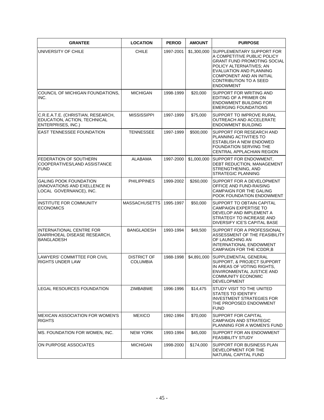| <b>GRANTEE</b>                                                                            | <b>LOCATION</b>                       | <b>PEROD</b> | <b>AMOUNT</b> | <b>PURPOSE</b>                                                                                                                                                                                                                        |
|-------------------------------------------------------------------------------------------|---------------------------------------|--------------|---------------|---------------------------------------------------------------------------------------------------------------------------------------------------------------------------------------------------------------------------------------|
| UNIVERSITY OF CHILE                                                                       | <b>CHILE</b>                          | 1997-2001    | \$1,300,000   | SUPPLEMENTARY SUPPORT FOR<br>A COMPETITIVE PUBLIC POLICY<br><b>GRANT FUND PROMOTING SOCIAL</b><br>POLICY ALTERNATIVES; AN<br>EVALUATION AND PLANNING<br><b>COMPONENT AND AN INITIAL</b><br>CONTRIBUTION TO A SEED<br><b>ENDOWMENT</b> |
| COUNCIL OF MICHIGAN FOUNDATIONS.<br>INC.                                                  | <b>MICHIGAN</b>                       | 1998-1999    | \$20,000      | SUPPORT FOR WRITING AND<br>EDITING OF A PRIMER ON<br><b>ENDOWMENT BUILDING FOR</b><br><b>EMERGING FOUNDATIONS</b>                                                                                                                     |
| C.R.E.A.T.E. (CHRISTIAN, RESEARCH,<br>EDUCATION, ACTION, TECHNICAL<br>ENTERPRISES, INC.)  | <b>MISSISSIPPI</b>                    | 1997-1999    | \$75,000      | SUPPORT TO IMPROVE RURAL<br>OUTREACH AND ACCELERATE<br><b>ENDOWMENT BUILDING</b>                                                                                                                                                      |
| <b>EAST TENNESSEE FOUNDATION</b>                                                          | <b>TENNESSEE</b>                      | 1997-1999    | \$500,000     | SUPPORT FOR RESEARCH AND<br>PLANNING ACTIVITIES TO<br><b>ESTABLISH A NEW ENDOWED</b><br>FOUNDATION SERVING THE<br>CENTRAL APPLACHIAN REGION                                                                                           |
| FEDERATION OF SOUTHERN<br>COOPERATIVES/LAND ASSISTANCE<br><b>FUND</b>                     | <b>ALABAMA</b>                        | 1997-2000    | \$1,000,000   | SUPPORT FOR ENDOWMENT,<br>DEBT REDUCTION, MANAGEMENT<br>STRENGTHENING, AND<br><b>STRATEGIC PLANNING</b>                                                                                                                               |
| <b>GALING POOK FOUNDATION</b><br>(INNOVATIONS AND EXELLENCE IN<br>LOCAL GOVERNANCE), INC. | <b>PHILIPPINES</b>                    | 1999-2002    | \$260,000     | SUPPORT FOR A DEVELOPMENT<br>OFFICE AND FUND-RAISING<br>CAMPAIGN FOR THE GALING<br>POOK FOUNDATION ENDOWMENT                                                                                                                          |
| INSTITUTE FOR COMMUNITY<br><b>ECONOMICS</b>                                               | MASSACHUSETTS   1995-1997             |              | \$50,000      | SUPPORT TO OBTAIN CAPITAL<br>CAMPAIGN EXPERTISE TO<br>DEVELOP AND IMPLEMENT A<br>STRATEGY TO INCREASE AND<br>DIVERSIFY ICE'S CAPITAL BASE                                                                                             |
| INTERNATIONAL CENTRE FOR<br>DIARRHOEAL DISEASE RESEARCH,<br><b>BANGLADESH</b>             | BANGLADESH                            | 1993-1994    | \$49,500      | SUPPORT FOR A PROFESSIONAL<br>ASSESSMENT OF THE FEASIBILITY<br>OF LAUNCHING AN<br><b>INTERNATIONAL ENDOWMENT</b><br>CAMPAIGN FOR THE ICDDR, B                                                                                         |
| LAWYERS' COMMITTEE FOR CIVIL<br>RIGHTS UNDER LAW                                          | <b>DISTRICT OF</b><br><b>COLUMBIA</b> | 1988-1998    | \$4,891,000   | SUPPLEMENTAL GENERAL<br>SUPPORT, & PROJECT SUPPORT<br>IN AREAS OF VOTING RIGHTS.<br>ENVIRONMENTAL JUSTICE AND<br>COMMUNITY ECONOMIC<br><b>DEVELOPMENT</b>                                                                             |
| LEGAL RESOURCES FOUNDATION                                                                | ZIMBABWE                              | 1996-1996    | \$14,475      | STUDY VISIT TO THE UNITED<br>STATES TO IDENTIFY<br><b>INVESTMENT STRATEGIES FOR</b><br>THE PROPOSED ENDOWMENT<br><b>FUND</b>                                                                                                          |
| <b>MEXICAN ASSOCIATION FOR WOMEN'S</b><br><b>RIGHTS</b>                                   | <b>MEXICO</b>                         | 1992-1994    | \$70,000      | SUPPORT FOR CAPITAL<br>CAMPAIGN AND STRATEGIC<br>PLANNING FOR A WOMEN'S FUND                                                                                                                                                          |
| MS. FOUNDATION FOR WOMEN, INC.                                                            | <b>NEW YORK</b>                       | 1993-1994    | \$45,000      | SUPPORT FOR AN ENDOWMENT<br><b>FEASIBILITY STUDY</b>                                                                                                                                                                                  |
| ON PURPOSE ASSOCIATES                                                                     | <b>MICHIGAN</b>                       | 1998-2000    | \$174,000     | SUPPORT FOR BUSINESS PLAN<br>DEVELOPMENT FOR THE<br>NATURAL CAPITAL FUND                                                                                                                                                              |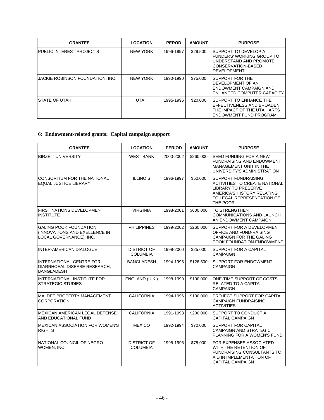| <b>GRANTEE</b>                   | <b>LOCATION</b> | <b>PEROD</b> | <b>AMOUNT</b> | <b>PURPOSE</b>                                                                                                            |
|----------------------------------|-----------------|--------------|---------------|---------------------------------------------------------------------------------------------------------------------------|
| PUBLIC INTEREST PROJECTS         | <b>NEW YORK</b> | 1996-1997    | \$29,500      | ISUPPORT TO DEVELOP A<br>FUNDERS' WORKING GROUP TO<br>UNDERSTAND AND PROMOTE<br>ICONSERVATION-BASED<br><b>DEVELOPMENT</b> |
| JACKIE ROBINSON FOUNDATION, INC. | <b>NEW YORK</b> | 1990-1990    | \$75,000      | <b>ISUPPORT FOR THE</b><br>DEVELOPMENT OF AN<br>ENDOWMENT CAMPAIGN AND<br>ENHANCED COMPUTER CAPACITY                      |
| <b>STATE OF UTAH</b>             | <b>UTAH</b>     | 1995-1996    | \$20,000      | SUPPORT TO ENHANCE THE<br>EFFECTIVENESS AND BROADEN<br>THE IMPACT OF THE UTAH ARTS<br>ENDOWMENT FUND PROGRAM              |

# **6: Endowment-related grants: Capital campaign support**

| <b>GRANTEE</b>                                                                            | <b>LOCATION</b>                       | <b>PERIOD</b> | <b>AMOUNT</b> | <b>PURPOSE</b>                                                                                                                                                           |
|-------------------------------------------------------------------------------------------|---------------------------------------|---------------|---------------|--------------------------------------------------------------------------------------------------------------------------------------------------------------------------|
| <b>BIRZEIT UNIVERSITY</b>                                                                 | <b>WEST BANK</b>                      | 2000-2002     | \$260,000     | SEED FUNDING FOR A NEW<br><b>FUNDRAISING AND ENDOWMENT</b><br><b>MANAGEMENT UNIT IN THE</b><br>UNIVERSITY'S ADMINISTRATION                                               |
| CONSORTIUM FOR THE NATIONAL<br><b>EQUAL JUSTICE LIBRARY</b>                               | <b>ILLINOIS</b>                       | 1996-1997     | \$50,000      | <b>SUPPORT FUNDRAISING</b><br><b>ACTIVITIES TO CREATE NATIONAL</b><br><b>LIBRARY TO PRESERVE</b><br>AMERICA'S HISTORY RELATING<br>TO LEGAL REPRESENTATION OF<br>THE POOR |
| <b>FIRST NATIONS DEVELOPMENT</b><br><b>INSTITUTE</b>                                      | <b>VIRGINIA</b>                       | 1998-2001     | \$600,000     | <b>TO STRENGTHEN</b><br><b>COMMUNICATIONS AND LAUNCH</b><br>AN ENDOWMENT CAMPAIGN                                                                                        |
| <b>GALING POOK FOUNDATION</b><br>(INNOVATIONS AND EXELLENCE IN<br>LOCAL GOVERNANCE), INC. | <b>PHILIPPINES</b>                    | 1999-2002     | \$260,000     | SUPPORT FOR A DEVELOPMENT<br>OFFICE AND FUND-RAISING<br><b>CAMPAIGN FOR THE GALING</b><br>POOK FOUNDATION ENDOWMENT                                                      |
| <b>INTER-AMERICAN DIALOGUE</b>                                                            | <b>DISTRICT OF</b><br><b>COLUMBIA</b> | 1999-2000     | \$25,000      | SUPPORT FOR A CAPITAL<br><b>CAMPAIGN</b>                                                                                                                                 |
| <b>INTERNATIONAL CENTRE FOR</b><br>DIARRHOEAL DISEASE RESEARCH,<br><b>BANGLADESH</b>      | <b>BANGLADESH</b>                     | 1994-1995     | \$126,500     | <b>SUPPORT FOR ENDOWMENT</b><br>CAMPAIGN                                                                                                                                 |
| INTERNATIONAL INSTITUTE FOR<br><b>STRATEGIC STUDIES</b>                                   | ENGLAND (U.K.)                        | 1998-1999     | \$100,000     | ONE-TIME SUPPORT OF COSTS<br>RELATED TO A CAPITAL<br><b>CAMPAIGN</b>                                                                                                     |
| MALDEF PROPERTY MANAGEMENT<br><b>CORPORATION</b>                                          | <b>CALIFORNIA</b>                     | 1994-1996     | \$100,000     | PROJECT SUPPORT FOR CAPITAL<br><b>CAMPAIGN FUNDRAISING</b><br><b>ACTIVITIES</b>                                                                                          |
| MEXICAN AMERICAN LEGAL DEFENSE<br>AND EDUCATIONAL FUND                                    | <b>CALIFORNIA</b>                     | 1991-1993     | \$200,000     | SUPPORT TO CONDUCT A<br><b>CAPITAL CAMPAIGN</b>                                                                                                                          |
| <b>MEXICAN ASSOCIATION FOR WOMEN'S</b><br><b>RIGHTS</b>                                   | <b>MEXICO</b>                         | 1992-1994     | \$70,000      | SUPPORT FOR CAPITAL<br><b>CAMPAIGN AND STRATEGIC</b><br>PLANNING FOR A WOMEN'S FUND                                                                                      |
| NATIONAL COUNCIL OF NEGRO<br>WOMEN, INC.                                                  | <b>DISTRICT OF</b><br><b>COLUMBIA</b> | 1995-1996     | \$75,000      | FOR EXPENSES ASSOCIATED<br>WITH THE RETENTION OF<br>FUNDRAISING CONSULTANTS TO<br>AID IN IMPLEMENTATION OF<br><b>CAPITAL CAMPAIGN</b>                                    |